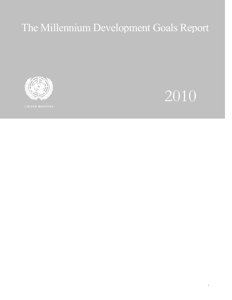# The Millennium Development Goals Report



UNITED NATIONS



1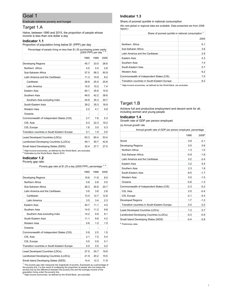Eradicate extreme poverty and hunger

# Target 1.A

Halve, between 1990 and 2015, the proportion of people whose income is less than one dollar a day

#### **Indicator 1.1**

Proportion of population living below \$1 (PPP) per day

| Percentage of people living on less than \$1.25 purchasing power parity | (2005 PPP) per day $\frac{1}{2}$ |      |      |
|-------------------------------------------------------------------------|----------------------------------|------|------|
|                                                                         | 1990                             | 1999 | 2005 |
| Developing Regions                                                      | 45.7                             | 33.0 | 26.6 |
| Northern Africa                                                         | 4.5                              | 4.4  | 2.6  |
| Sub-Saharan Africa                                                      | 57.5                             | 58.3 | 50.9 |
| Latin America and the Caribbean                                         | 11.3                             | 10.9 | 8.2  |
| Caribbean                                                               | 28.8                             | 25.4 | 25.8 |
| Latin America                                                           | 10.5                             | 10.2 | 7.4  |
| Eastern Asia                                                            | 60.1                             | 35.6 | 15.9 |
| Southern Asia                                                           | 49.5                             | 42.2 | 38.6 |
| Southern Asia excluding India                                           | 44.6                             | 35.3 | 30.7 |
| South-Eastern Asia                                                      | 39.2                             | 35.3 | 18.9 |
| Western Asia                                                            | 2.2                              | 4.1  | 5.8  |
| Oceania                                                                 |                                  |      |      |
| Commonwealth of Independent States (CIS)                                | 2.7                              | 7.8  | 5.3  |
| CIS, Asia                                                               | 6.3                              | 22.3 | 19.2 |
| CIS, Europe                                                             | 1.6                              | 3.0  | 0.3  |
| Transition countries in South-Eastern Europe                            | 0.1                              | 1.9  | 0.5  |
| Least Developed Countries (LDCs)                                        | 63.3                             | 60.4 | 53.4 |
| Landlocked Developing Countries (LLDCs)                                 | 49.1                             | 50.7 | 42.8 |
| Small Island Developing States (SIDS)                                   | 32.4                             | 27.7 | 27.5 |

 $\frac{1}{2}$  High-income economies, as defined by the World Bank, are excluded.<br>2 Estimates by the World Bank, March 2010.

#### **Indicator 1.2**

Poverty gap ratio

| Poverty gap ratio at \$1.25 a day (2005 PPP), percentage |      |      | 11, 21 |
|----------------------------------------------------------|------|------|--------|
|                                                          | 1990 | 1999 | 2005   |
| Developing Regions                                       | 15.6 | 11.6 | 8.0    |
| Northern Africa                                          | 0.8  | 0.8  | 0.5    |
| Sub-Saharan Africa                                       | 26.3 | 25.8 | 20.7   |
| Latin America and the Caribbean                          | 3.9  | 3.8  | 2.8    |
| Caribbean                                                | 13.4 | 12.7 | 12.8   |
| Latin America                                            | 3.5  | 3.4  | 2.3    |
| Eastern Asia                                             | 20.7 | 11.1 | 4.0    |
| Southern Asia                                            | 14.5 | 11.2 | 9.8    |
| Southern Asia excluding India                            | 14.2 | 9.9  | 8.1    |
| South-Eastern Asia                                       | 11.1 | 9.6  | 4.2    |
| Western Asia                                             | 0.6  | 1.0  | 1.5    |
| Oceania                                                  |      |      |        |
| Commonwealth of Independent States (CIS)                 | 0.9  | 2.5  | 1.5    |
| CIS, Asia                                                | 2.1  | 7.5  | 5.4    |
| CIS, Europe                                              | 0.5  | 0.8  | 0.1    |
| Transition countries in South-Eastern Europe             | 0.0  | 0.5  | 0.2    |
| Least Developed Countries (LDCs)                         | 27.5 | 24.7 | 19.9   |
| Landlocked Developing Countries (LLDCs)                  | 21.9 | 20.2 | 15.5   |
| Small Island Developing States (SIDS)                    | 14.4 | 12.3 | 11.9   |

 $\mu$  The poverty gap ratio measures the magnitude of poverty. Expressed as a percentage of<br>the poverty line, it is the result of multiplying the proportion of people who live below the<br>poverty line by the difference betwe

# **Indicator 1.3**

Share of poorest quintile in national consumption

(No new global or regional data are available. Data presented are from 2008 report.)

| Share of poorest quintile in national consumption |      |
|---------------------------------------------------|------|
|                                                   | 2005 |
| Northern Africa                                   | 6.1  |
| Sub-Saharan Africa                                | 3.6  |
| Latin America and the Caribbean                   | 2.9  |
| Eastern Asia                                      | 4.3  |
| Southern Asia                                     | 7.4  |
| South-Eastern Asia                                | 5.7  |
| Western Asia                                      | 6.2  |
| Commonwealth of Independent States (CIS)          | 7.0  |
| Transition countries in South-Eastern Europe      | 8.2  |

 $1/$  High-income economies, as defined by the World Bank, are excluded.

# Target 1.B

Achieve full and productive employment and decent work for all, including women and young people

### **Indicator 1.4**

Growth rate of GDP per person employed

(a) Annual growth rate

| Annual growth rate of GDP per person employed, percentage |        |                   |
|-----------------------------------------------------------|--------|-------------------|
|                                                           | 1998   | 2009 <sup>p</sup> |
| World                                                     | 0.9    | $-2.1$            |
| Developing Regions                                        | 0.5    | 0.6               |
| Northern Africa                                           | 1.3    | 1.0               |
| Sub-Saharan Africa                                        | $-0.9$ | $-1.8$            |
| Latin America and the Caribbean                           | 0.2    | $-3.4$            |
| Eastern Asia                                              | 3.2    | 5.4               |
| Southern Asia                                             | 2.3    | 1.9               |
| South-Eastern Asia                                        | $-8.5$ | $-1.7$            |
| Western Asia                                              | 0.0    | $-1.5$            |
| Oceania                                                   | $-5.6$ | $-1.3$            |
| Commonwealth of Independent States (CIS)                  | $-2.3$ | $-5.2$            |
| CIS, Asia                                                 | 0.5    | $-0.4$            |
| CIS, Europe                                               | $-2.1$ | $-5.4$            |
| <b>Developed Regions</b>                                  | 1.7    | $-1.2$            |
| Transition countries in South-Eastern Europe              | 0.4    | $-3.2$            |
| Least Developed Countries (LDCs)                          | 1.3    | 0.7               |
| Landlocked Developing Countries (LLDCs)                   | $-0.3$ | $-0.9$            |
| Small Island Developing States (SIDS)                     | $-0.4$ | $-2.8$            |

<sup>p</sup> Preliminary data.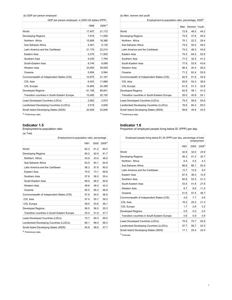(b) GDP per person employed

| GDP per person employed, in 2005 US dollars (PPP) |        |            |  |  |
|---------------------------------------------------|--------|------------|--|--|
|                                                   | 1998   | $2009^{p}$ |  |  |
| World                                             | 17,457 | 21,172     |  |  |
| Developing Regions                                | 7,816  | 11,559     |  |  |
| Northern Africa                                   | 15,806 | 18,368     |  |  |
| Sub-Saharan Africa                                | 4,381  | 5,135      |  |  |
| Latin America and the Caribbean                   | 21,170 | 22,214     |  |  |
| Eastern Asia                                      | 5,370  | 11,952     |  |  |
| Southern Asia                                     | 5,030  | 7,794      |  |  |
| South-Eastern Asia                                | 6,744  | 9,089      |  |  |
| Western Asia                                      | 33,084 | 39,559     |  |  |
| Oceania                                           | 5,954  | 5,564      |  |  |
| Commonwealth of Independent States (CIS)          | 12,875 | 21,181     |  |  |
| CIS, Asia                                         | 6,453  | 11,886     |  |  |
| CIS, Europe                                       | 14,695 | 24,399     |  |  |
| Developed Regions                                 | 61,156 | 69,841     |  |  |
| Transition countries in South-Eastern Europe      | 15,490 | 25,150     |  |  |
| Least Developed Countries (LDCs)                  | 2,062  | 2,974      |  |  |
| Landlocked Developing Countries (LLDCs)           | 3,519  | 4,828      |  |  |
| Small Island Developing States (SIDS)             | 20,926 | 23,846     |  |  |

/p Preliminary data.

# **Indicator 1.5**

Employment-to-population ratio

(a) Total

| Employment-to-population ratio, percentage   |      |      |            |
|----------------------------------------------|------|------|------------|
|                                              | 1991 | 2000 | $2009^{p}$ |
| World                                        | 62.2 | 61.2 | 60.4       |
| Developing Regions                           | 64.2 | 62.9 | 61.7       |
| Northern Africa                              | 43.9 | 43.4 | 46.0       |
| Sub-Saharan Africa                           | 63.5 | 64.1 | 64.9       |
| Latin America and the Caribbean              | 56.3 | 57.9 | 60.0       |
| Eastern Asia                                 | 74.5 | 73.1 | 69.8       |
| Southern Asia                                | 57.6 | 56.0 | 55.4       |
| South-Eastern Asia                           | 68.0 | 66.5 | 65.6       |
| Western Asia                                 | 48.6 | 46.4 | 44.3       |
| Oceania                                      | 65.5 | 66.3 | 66.8       |
| Commonwealth of Independent States (CIS)     | 57.9 | 54.0 | 56.9       |
| CIS, Asia                                    | 57.4 | 55.7 | 59.3       |
| CIS, Europe                                  | 58.0 | 53.6 | 56.1       |
| <b>Developed Regions</b>                     | 56.5 | 56.5 | 55.3       |
| Transition countries in South-Eastern Europe | 53.4 | 51.9 | 47.7       |
| Least Developed Countries (LDCs)             | 70.7 | 69.3 | 69.0       |
| Landlocked Developing Countries (LLDCs)      | 66.1 | 66.0 | 68.3       |
| Small Island Developing States (SIDS)        | 54.8 | 56.6 | 57.7       |

/p Preliminary data.

(b) Men, women and youth

| Employment-to-population ratio, percentage, 2009 <sup>/p</sup> |      |             |      |
|----------------------------------------------------------------|------|-------------|------|
|                                                                | Men  | Women Youth |      |
| World                                                          | 72.8 | 48.0        | 44.2 |
| <b>Developing Regions</b>                                      | 75.5 | 47.8        | 45.0 |
| Northern Africa                                                | 70.1 | 22.2        | 29.4 |
| Sub-Saharan Africa                                             | 74.5 | 55.5        | 49.0 |
| Latin America and the Caribbean                                | 74.3 | 46.5        | 43.6 |
| Eastern Asia                                                   | 75.4 | 64.0        | 53.9 |
| Southern Asia                                                  | 77.2 | 32.5        | 41.2 |
| South-Eastern Asia                                             | 77.6 | 53.9        | 43.6 |
| Western Asia                                                   | 66.4 | 20.4        | 26.0 |
| Oceania                                                        | 71.2 | 62.4        | 52.8 |
| Commonwealth of Independent States (CIS)                       | 62.9 | 51.8        | 34.9 |
| CIS, Asia                                                      | 65.6 | 53.4        | 38.6 |
| CIS, Europe                                                    | 61.9 | 51.3        | 32.8 |
| <b>Developed Regions</b>                                       | 62.9 | 48.1        | 41.0 |
| Transition countries in South-Eastern Europe                   | 55.0 | 40.8        | 24.1 |
| Least Developed Countries (LDCs)                               | 79.3 | 58.9        | 55.9 |
| Landlocked Developing Countries (LLDCs)                        | 76.6 | 60.4        | 55.0 |
| Small Island Developing States (SIDS)                          | 69.8 | 45.8        | 43.0 |

/p Preliminary data.

#### **Indicator 1.6**

Proportion of employed people living below \$1 (PPP) per day

| Employed people living below \$1.25 (PPP) per day, percentage of total |      |      | employment         |
|------------------------------------------------------------------------|------|------|--------------------|
|                                                                        | 1991 | 2000 | 2009 <sup>/f</sup> |
| World                                                                  | 42.9 | 32.6 | 24.8               |
| Developing Regions                                                     | 56.3 | 41.3 | 30.7               |
| Northern Africa                                                        | 6.4  | 5.5  | 4.3                |
| Sub-Saharan Africa                                                     | 66.8 | 66.1 | 63.5               |
| Latin America and the Caribbean                                        | 12.7 | 12.9 | 8.5                |
| Eastern Asia                                                           | 67.4 | 36.5 | 12.6               |
| Southern Asia                                                          | 60.9 | 53.3 | 51.3               |
| South-Eastern Asia                                                     | 53.5 | 41.8 | 27.6               |
| Western Asia                                                           | 8.7  | 8.6  | 11.5               |
| Oceania                                                                | 51.6 | 47.4 | 49.7               |
| Commonwealth of Independent States (CIS)                               | 4.6  | 7.7  | 5.6                |
| CIS. Asia                                                              | 16.2 | 25.5 | 21.3               |
| CIS, Europe                                                            | 1.7  | 2.6  | 0.2                |
| <b>Developed Regions</b>                                               | 0.0  | 0.0  | 0.0                |
| Transition countries in South-Eastern Europe                           | 0.6  | 0.9  | 0.6                |
| Least Developed Countries (LDCs)                                       | 70.5 | 70.7 | 65.8               |
| Landlocked Developing Countries (LLDCs)                                | 57.7 | 58.7 | 52.5               |
| Small Island Developing States (SIDS)                                  | 17.1 | 20.4 | 24.0               |

/f Forecast.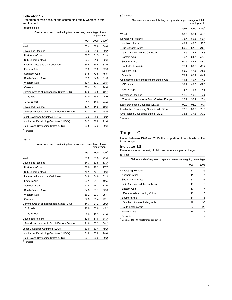# **Indicator 1.7**

Proportion of own-account and contributing family workers in total employment

(a) Both sexes

| Own-account and contributing family workers, percentage of total |      |      | employment  |
|------------------------------------------------------------------|------|------|-------------|
|                                                                  | 1991 | 2000 | $2009^{11}$ |
| World                                                            | 55.4 | 52.8 | 50.6        |
| Developing Regions                                               | 69.2 | 64.0 | 60.2        |
| Northern Africa                                                  | 36.7 | 31.5 | 33.9        |
| Sub-Saharan Africa                                               | 82.7 | 81.0 | 76.6        |
| Latin America and the Caribbean                                  | 35.4 | 34.4 | 31.9        |
| Eastern Asia                                                     | 69.2 | 59.0 | 53.3        |
| Southern Asia                                                    | 81.5 | 79.8 | 76.6        |
| South-Eastern Asia                                               | 68.9 | 64.8 | 61.3        |
| Western Asia                                                     | 42.4 | 33.2 | 28.5        |
| Oceania                                                          | 72.4 | 74.1 | 78.6        |
| Commonwealth of Independent States (CIS)                         | 13.0 | 20.5 | 18.7        |
| CIS, Asia                                                        | 43.0 | 49.8 | 44.0        |
| CIS, Europe                                                      | 5.3  | 12.0 | 10.0        |
| <b>Developed Regions</b>                                         | 12.1 | 11.0 | 10.6        |
| Transition countries in South-Eastern Europe                     | 23.3 | 34.1 | 28.5        |
| Least Developed Countries (LDCs)                                 | 87.2 | 85.0 | 82.9        |
| Landlocked Developing Countries (LLDCs)                          | 74.2 | 76.9 | 73.6        |
| Small Island Developing States (SIDS)                            | 33.5 | 37.3 | 39.6        |
| <sup>/f</sup> Forecast.                                          |      |      |             |

#### (b) Men

| Own-account and contributing family workers, percentage of total |      |      | employment        |
|------------------------------------------------------------------|------|------|-------------------|
|                                                                  | 1991 | 2000 | 2009 <sup>1</sup> |
| World                                                            | 53.0 | 51.3 | 49.4              |
| Developing Regions                                               | 64.7 | 60.8 | 57.3              |
| Northern Africa                                                  | 32.9 | 28.2 | 27.7              |
| Sub-Saharan Africa                                               | 78.1 | 76.4 | 70.6              |
| Latin America and the Caribbean                                  | 34.8 | 34.6 | 32.3              |
| Eastern Asia                                                     | 63.1 | 54.4 | 49.5              |
| Southern Asia                                                    | 77.8 | 76.7 | 73.6              |
| South-Eastern Asia                                               | 64.3 | 61.1 | 58.3              |
| Western Asia                                                     | 36.2 | 29.3 | 26.1              |
| Oceania                                                          | 67.3 | 68.4 | 73.1              |
| Commonwealth of Independent States (CIS)                         | 14.7 | 21.2 | 20.2              |
| CIS, Asia                                                        | 46.9 | 50.6 | 45.2              |
| CIS, Europe                                                      | 6.0  | 12.3 | 11.0              |
| <b>Developed Regions</b>                                         | 12.0 | 11.6 | 11.8              |
| Transition countries in South-Eastern Europe                     | 21.6 | 33.2 | 30.2              |
| Least Developed Countries (LDCs)                                 | 83.0 | 80.4 | 79.2              |
| Landlocked Developing Countries (LLDCs)                          | 71.9 | 73.9 | 70.0              |
| Small Island Developing States (SIDS)<br><sup>/f</sup> Forecast. | 32.4 | 36.9 | 39.8              |

#### (c) Women

| Own-account and contributing family workers, percentage of total |      |      | employment         |
|------------------------------------------------------------------|------|------|--------------------|
|                                                                  | 1991 | 2000 | 2009 <sup>/f</sup> |
| World                                                            | 59.2 | 55.1 | 52.3               |
| <b>Developing Regions</b>                                        | 76.7 | 69.3 | 64.7               |
| Northern Africa                                                  | 49.9 | 42.3 | 53.3               |
| Sub-Saharan Africa                                               | 89.0 | 87.3 | 84.3               |
| Latin America and the Caribbean                                  | 36.5 | 34.1 | 31.3               |
| Eastern Asia                                                     | 76.7 | 64.7 | 57.8               |
| Southern Asia                                                    | 90.9 | 88.1 | 83.9               |
| South-Eastern Asia                                               | 75.1 | 69.9 | 65.4               |
| Western Asia                                                     | 62.9 | 47.3 | 36.8               |
| Oceania                                                          | 79.1 | 80.9 | 84.9               |
| Commonwealth of Independent States (CIS)                         | 11.1 | 19.7 | 17.2               |
| CIS, Asia                                                        | 38.4 | 48.8 | 42.6               |
| CIS, Europe                                                      | 4.5  | 11.7 | 8.9                |
| <b>Developed Regions</b>                                         | 12.3 | 10.2 | 9.1                |
| Transition countries in South-Eastern Europe                     | 25.4 | 35.1 | 26.4               |
| Least Developed Countries (LDCs)                                 | 92.9 | 91.2 | 87.7               |
| Landlocked Developing Countries (LLDCs)                          | 77.2 | 80.7 | 78.0               |
| Small Island Developing States (SIDS)                            | 35.5 | 37.8 | 39.2               |
| <sup>ff</sup> Forecast.                                          |      |      |                    |

# Target 1.C

Halve, between 1990 and 2015, the proportion of people who suffer from hunger

# **Indicator 1.8**

Prevalence of underweight children under-five years of age (a) Total

| Children under-five years of age who are underweight <sup>1</sup> , percentage |      |      |
|--------------------------------------------------------------------------------|------|------|
|                                                                                | 1990 | 2008 |
| Developing Regions                                                             | 31   | 26   |
| Northern Africa                                                                | 11   |      |
| Sub-Saharan Africa                                                             | 31   | 27   |
| Latin America and the Caribbean                                                | 11   | 6    |
| Eastern Asia                                                                   | 17   | 7    |
| Eastern Asia excluding China                                                   | 12   | 6    |
| Southern Asia                                                                  | 51   | 46   |
| Southern Asia excluding India                                                  | 49   | 35   |
| South-Eastern Asia                                                             | 37   | 25   |
| Western Asia                                                                   | 14   | 14   |
| Oceania                                                                        |      |      |

/f Compared to NCHS reference population.

4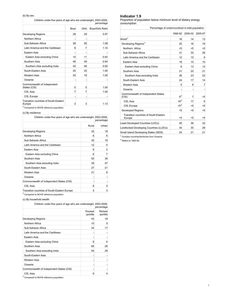(b) By sex

| Children under-five years of age who are underweight, 2003-2008, |      |       | percentage       |
|------------------------------------------------------------------|------|-------|------------------|
|                                                                  | Boys | Girls | Boys/Girls Ratio |
| Developing Regions                                               | 28   | 29    | 0.97             |
| Northern Africa                                                  |      |       |                  |
| Sub-Saharan Africa                                               | 28   | 26    | 1.08             |
| Latin America and the Caribbean                                  | 8    | 7     | 1.14             |
| Eastern Asia                                                     |      |       |                  |
| Eastern Asia excluding China                                     | 10   | 11    | 0.93             |
| Southern Asia                                                    | 46   | 49    | 0.94             |
| Southern Asia excluding India                                    | 42   | 46    | 0.92             |
| South-Eastern Asia                                               | 25   | 25    | 1.00             |
| Western Asia                                                     | 20   | 19    | 1.05             |
| Oceania                                                          |      |       |                  |
| Commonwealth of Independent<br>States (CIS)                      | 5    | 5     | 1.00             |
| CIS, Asia                                                        | 7    | 7     | 1.00             |
| CIS, Europe                                                      |      |       |                  |
| Transition countries of South-Eastern<br>Europe                  | 3    | 3     | 1.13             |

/f Compared to NCHS reference population.

# (c) By residence

| Children under-five years of age who are underweight, 2003-2008, |       | percentage     |
|------------------------------------------------------------------|-------|----------------|
|                                                                  | Rural | Urban          |
| Developing Regions                                               | 32    | 18             |
| Northern Africa                                                  | 8     | 6              |
| Sub-Saharan Africa                                               | 30    | 19             |
| Latin America and the Caribbean                                  | 12    | 5              |
| Eastern Asia                                                     | 9     | $\overline{2}$ |
| Eastern Asia excluding China                                     | 6     | 7              |
| Southern Asia                                                    | 50    | 39             |
| Southern Asia excluding India                                    | 39    | 47             |
| South-Eastern Asia                                               | 27    | 21             |
| Western Asia                                                     | 21    | 8              |
| Oceania                                                          |       |                |
| Commonwealth of Independent States (CIS)                         |       |                |
| CIS, Asia                                                        | 8     | 5              |
| Transition countries of South-Eastern Europe                     | 3     | 3              |
| <sup>/f</sup> Compared to NCHS reference population.             |       |                |

# (c) By household wealth

| Children under-five years of age who are underweight, 2003-2008, |                     | percentage          |
|------------------------------------------------------------------|---------------------|---------------------|
|                                                                  | Poorest<br>quintile | Richest<br>quintile |
| Developing Regions                                               | 43                  | 19                  |
| Northern Africa                                                  | 10                  | 5                   |
| Sub-Saharan Africa                                               | 34                  | 17                  |
| Latin America and the Caribbean                                  |                     |                     |
| Eastern Asia                                                     |                     |                     |
| Eastern Asia excluding China                                     | 8                   | 4                   |
| Southern Asia                                                    | 60                  | 26                  |
| Southern Asia excluding India                                    | 54                  | 29                  |
| South-Eastern Asia                                               |                     |                     |
| Western Asia                                                     |                     |                     |
| Oceania                                                          |                     |                     |
| Commonwealth of Independent States (CIS)                         |                     |                     |
| CIS, Asia                                                        | 9                   |                     |

/f Compared to NCHS reference population.

#### **Indicator 1.9**

Proportion of population below minimum level of dietary energy consumption

| Percentage of undernourished in total population |            |         |                |
|--------------------------------------------------|------------|---------|----------------|
|                                                  | 1990-92    | 2000-02 | 2005-07        |
| World <sup>1/</sup>                              | 16         | 14      | 13             |
| Developing Regions <sup>1/</sup>                 | 20         | 16      | 16             |
| Northern Africa                                  | < 5        | < 5     | < 5            |
| Sub-Saharan Africa                               | 31         | 30      | 26             |
| Latin America and the Caribbean                  | 12         | 10      | 9              |
| Eastern Asia                                     | 18         | 10      | 10             |
| Eastern Asia excluding China                     | 8          | 13      | 12             |
| Southern Asia                                    | 21         | 20      | 21             |
| Southern Asia excluding India                    | 26         | 23      | 23             |
| South-Eastern Asia                               | 24         | 17      | 14             |
| Western Asia                                     | 5          | 8       | $\overline{7}$ |
| Oceania                                          |            |         |                |
| Commonwealth of Independent States<br>(CIS)      | $6^{2l}$   | 7       | < 5            |
| CIS, Asia                                        | $16^{27}$  | 17      | 9              |
| CIS, Europe                                      | $< 5^{27}$ | $5$     | < 5            |
| <b>Developed Regions</b>                         | < 5        | < 5     | < 5            |
| Transition countries of South-Eastern<br>Europe  | < 5        | < 5     | < 5            |
| Least Developed Countries (LDCs)                 | 40         | 36      | 32             |
| Landlocked Developing Countries (LLDCs)          | 34         | 30      | 26             |
| Small Island Developing States (SIDS)            | 24         | 21      | 21             |

 $1/$  Includes countries/territories from Oceania.

 $^{27}$  Refers to 1993-95.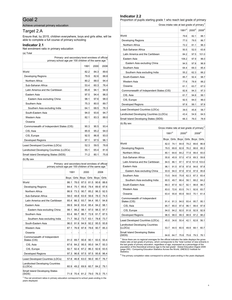#### Achieve universal primary education

# Target 2.A

Ensure that, by 2015, children everywhere, boys and girls alike, will be able to complete a full course of primary schooling

#### **Indicator 2.1**

Net enrolment ratio in primary education

(a) Total

| Primary- and secondary-level enrolees of official<br>primary school age per 100 children of the same age |      |      |      |  |
|----------------------------------------------------------------------------------------------------------|------|------|------|--|
|                                                                                                          | 1991 | 2000 | 2008 |  |
| World                                                                                                    | 82.2 | 84.3 | 89.6 |  |
| Developing Regions                                                                                       | 79.9 | 82.6 | 88.8 |  |
| Northern Africa                                                                                          | 80.2 | 88.0 | 94.4 |  |
| Sub-Saharan Africa                                                                                       | 53.4 | 60.3 | 76.4 |  |
| Latin America and the Caribbean                                                                          | 85.8 | 94.1 | 94.9 |  |
| Eastern Asia                                                                                             | 97.5 | 94.4 | 96.0 |  |
| Eastern Asia excluding China                                                                             | 98.1 | 97.6 | 98.0 |  |
| Southern Asia                                                                                            | 75.3 | 80.0 | 89.7 |  |
| Southern Asia excluding India                                                                            | 64.1 | 68.5 | 76.3 |  |
| South-Eastern Asia                                                                                       | 94.0 | 93.6 | 94.7 |  |
| Western Asia                                                                                             | 82.1 | 83.3 | 88.0 |  |
| Oceania                                                                                                  |      |      |      |  |
| Commonwealth of Independent States (CIS)                                                                 | 90.3 | 90.5 | 93.4 |  |
| CIS, Asia                                                                                                | 85.9 | 95.2 | 94.0 |  |
| CIS, Europe                                                                                              | 92.5 | 86.8 | 93.0 |  |
| <b>Developed Regions</b>                                                                                 | 97.1 | 97.5 | 96.1 |  |
| Least Developed Countries (LDCs)                                                                         | 52.3 | 59.5 | 78.8 |  |
| Landlocked Developing Countries (LLDCs)                                                                  | 55.1 | 65.4 | 81.6 |  |
| Small Island Developing States (SIDS)                                                                    | 71.2 | 80.1 | 75.8 |  |

| Primary- and secondary-level enrolees of official<br>primary school age per 100 children of the same age 1/ |      |       |      |       |             |       |
|-------------------------------------------------------------------------------------------------------------|------|-------|------|-------|-------------|-------|
|                                                                                                             | 1991 |       | 2000 |       | 2008        |       |
|                                                                                                             | Boys | Girls | Boys | Girls | <b>Boys</b> | Girls |
| World                                                                                                       | 86.1 | 78.0  | 87.0 | 81.5  | 90.6        | 88.6  |
| Developing Regions                                                                                          | 84.4 | 75.1  | 85.6 | 79.4  | 89.9        | 87.6  |
| Northern Africa                                                                                             | 86.9 | 73.3  | 90.7 | 85.2  | 96.3        | 92.5  |
| Sub-Saharan Africa                                                                                          | 58.0 | 48.8  | 63.9 | 56.6  | 78.3        | 74.5  |
| Latin America and the Caribbean                                                                             | 85.4 | 86.3  | 93.7 | 94.4  | 95.1        | 94.8  |
| Eastern Asia                                                                                                | 99.9 | 94.9  | 93.4 | 95.4  | 94.2        | 98.1  |
| Eastern Asia excluding China                                                                                | 98.1 | 98.2  | 98.1 | 97.0  | 98.3        | 97.7  |
| Southern Asia                                                                                               | 83.4 | 66.7  | 86.7 | 72.8  | 91.7        | 87.5  |
| Southern Asia excluding India                                                                               | 71.7 | 56.2  | 73.7 | 63.1  | 78.8        | 73.7  |
| South-Eastern Asia                                                                                          | 96.0 | 91.9  | 94.9 | 92.2  | 95.5        | 93.8  |
| Western Asia                                                                                                | 87.1 | 76.9  | 87.8 | 78.6  | 90.7        | 85.3  |
| Oceania                                                                                                     |      |       |      |       |             |       |
| Commonwealth of Independent<br>States (CIS)                                                                 | 91.0 | 89.7  | 90.8 | 90.1  | 93.5        | 93.4  |
| CIS, Asia                                                                                                   | 87.6 | 84.2  | 95.5 | 95.0  | 94.7        | 93.3  |
| CIS, Europe                                                                                                 | 92.7 | 92.4  | 87.2 | 86.3  | 92.6        | 93.5  |
| <b>Developed Regions</b>                                                                                    | 97.3 | 96.8  | 97.5 | 97.5  | 95.8        | 96.4  |
| Least Developed Countries (LDCs)                                                                            | 57.8 | 46.8  | 63.0 | 56.0  | 80.7        | 76.7  |
| <b>Landlocked Developing Countries</b><br>(LLDCs)                                                           | 60.9 | 49.2  | 69.9 | 60.7  | 84.2        | 79.1  |
| Small Island Developing States<br>(SIDS)                                                                    | 71.9 | 70.4  | 81.2 | 79.0  | 76.3        | 75.1  |

 $<sup>17</sup>$  The net enrolment ratios in primary education correspond to school years ending in the</sup> years displayed.

#### **Indicator 2.2**

Proportion of pupils starting grade 1 who reach last grade of primary

Gross intake rate at last grade of primary<sup>1/</sup> 1991<sup>2</sup> 2000<sup>2</sup> 2008<sup>2</sup> World 79.6 82.1 88.1 Developing Regions 77.0 79.5 86.7 Northern Africa 2008 12.2 81.1 96.3 Sub-Saharan Africa 50.5 52.0 63.8 Latin America and the Caribbean 84.2 97.5 101.0 Eastern Asia 2008 106.2 97.9 96.0 Eastern Asia excluding China 194.5 97.8 96.9 Southern Asia 64.4 69.3 85.4 Southern Asia excluding India  $\begin{array}{|c|c|c|c|c|c|} \hline 66.2 & 62.3 & 66.2 \hline \end{array}$ South-Eastern Asia 85.7 82.4 98.7 Western Asia **1988.2 1988.2 1998.2 1999.2 1999.2 1999.2 1999.2** Oceania 61.1 63.7 67.0 Commonwealth of Independent States (CIS) 82.8 94.3 97.3 CIS, Asia 61.7 94.8 99.1 CIS, Europe 92.5 94.0 96.0 Developed Regions 97.8 99.1 97.8 Least Developed Countries (LDCs)  $\begin{array}{|c|c|c|c|c|c|} \hline & 39.5 & 45.8 & 58.7 \ \hline \end{array}$ Landlocked Developing Countries (LLDCs)  $\begin{array}{|c|c|c|c|c|c|}\n\hline\n\text{13.4} & \text{54.9} & \text{64.5}\n\end{array}$ Small Island Developing States (SIDS) 66.3 76.0 78.9

| (b) By sex                                        |                                                          |             |      |              |      |             |
|---------------------------------------------------|----------------------------------------------------------|-------------|------|--------------|------|-------------|
|                                                   | Gross intake rate at last grade of primary <sup>1/</sup> |             |      |              |      |             |
|                                                   |                                                          | $1991^{27}$ |      | $2000^{27}$  |      | $2008^{27}$ |
|                                                   | Boys                                                     | Girls       |      | Boys   Girls | Boys | Girls       |
| World                                             | 82.0                                                     | 74.1        | 84.9 | 79.2         | 89.6 | 86.9        |
| <b>Developing Regions</b>                         | 79.5                                                     | 69.8        | 82.8 | 76.2         | 88.6 | 85.3        |
| Northern Africa                                   | 80.1                                                     | 64.6        | 84.2 | 77.9         | 99.4 | 93.0        |
| Sub-Saharan Africa                                | 55.8                                                     | 45.9        | 57.0 | 47.9         | 69.3 | 59.8        |
| Latin America and the Caribbean                   | 84.5                                                     | 86.1        | 97.1 | 97.8         |      | 101.8 103.0 |
| Eastern Asia                                      | 96.1                                                     | 91.5        | 97.9 | 97.8         | 94.6 | 97.8        |
| Eastern Asia excluding China                      | 93.9                                                     | 94.0        | 97.8 | 97.6         | 97.9 | 95.8        |
| Southern Asia                                     | 73.5                                                     | 54.6        | 75.8 | 62.3         | 87.3 | 83.4        |
| Southern Asia excluding India                     | 60.5                                                     | 49.7        | 66.4 | 58.1         | 68.2 | 64.2        |
| South-Eastern Asia                                | 89.3                                                     | 87.9        | 92.7 | 92.1         | 98.8 | 98.7        |
| Western Asia                                      | 83.0                                                     | 72.6        | 83.5 | 74.1         | 92.6 | 83.7        |
| Oceania                                           | 63.4                                                     | 55.8        | 65.9 | 59.0         | 70.1 | 61.4        |
| Commonwealth of Independent<br>States (CIS)       | 91.4                                                     | 91.3        | 94.0 | 93.4         | 95.7 | 95.1        |
| CIS, Asia                                         | 85.7                                                     | 85.0        | 97.4 | 96.1         | 99.4 | 97.9        |
| CIS, Europe                                       | 94.0                                                     | 94.2        | 92.0 | 91.8         | 92.9 | 92.9        |
| <b>Developed Regions</b>                          | 96.5                                                     | 98.0        | 99.3 | 98.9         | 97.2 | 98.2        |
| Least Developed Countries (LDCs)                  | 45.0                                                     | 34.6        | 50.4 | 42.1         | 62.8 | 56.1        |
| <b>Landlocked Developing Countries</b><br>(LLDCs) | 53.7                                                     | 44.5        | 60.5 | 49.9         | 68.1 | 60.7        |
| Small Island Developing States<br>(SIDS)          | 64.8                                                     | 64.7        | 75.8 | 75.8         | 79.3 | 78.1        |

<sup>1/</sup> Since there are no regional averages for the official indicator the table displays the gross<br>intake ratio at last grade of primary, which corresponds to the "bdal number of new entrants in<br>the last grade of primary ed

 $2^{7}$  The primary completion rates correspond to school years ending in the years displayed.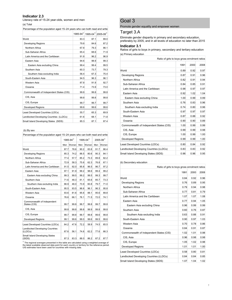### **Indicator 2.3**

Literacy rate of 15-24 year-olds, women and men (a) Total

| Percentage of the population aged 15-24 years who can both read and write |      |                                                                   |      |
|---------------------------------------------------------------------------|------|-------------------------------------------------------------------|------|
|                                                                           |      | 1985-94 <sup>1/</sup> 1995-04 <sup>1/</sup> 2005-08 <sup>1/</sup> |      |
| World                                                                     | 83.3 | 87.1                                                              | 89.0 |
| <b>Developing Regions</b>                                                 | 79.8 | 84.6                                                              | 87.2 |
| Northern Africa                                                           | 67.8 | 79.3                                                              | 86.1 |
| Sub-Saharan Africa                                                        | 65.4 | 68.6                                                              | 71.9 |
| Latin America and the Caribbean                                           | 91.8 | 96.2                                                              | 96.9 |
| Eastern Asia                                                              | 94.6 | 98.9                                                              | 99.3 |
| Eastern Asia excluding China                                              | 99.4 | 99.4                                                              | 99.5 |
| Southern Asia                                                             | 60.3 | 73.7                                                              | 79.3 |
| Southern Asia excluding India                                             | 56.4 | 67.3                                                              | 75.4 |
| South-Eastern Asia                                                        | 94.5 | 96.3                                                              | 96.1 |
| Western Asia                                                              | 87.8 | 91.9                                                              | 92.7 |
| Oceania                                                                   | 71.4 | 73.9                                                              | 73.0 |
| Commonwealth of Independent States (CIS)                                  | 99.8 | 99.8                                                              | 99.8 |
| CIS, Asia                                                                 | 99.8 | 99.8                                                              | 99.8 |
| CIS, Europe                                                               | 99.7 | 99.7                                                              | 99.7 |
| <b>Developed Regions</b>                                                  | 99.6 | 99.6                                                              | 99.6 |
| Least Developed Countries (LDCs)                                          | 55.7 | 65.3                                                              | 69.9 |
| Landlocked Developing Countries (LLDCs)                                   | 61.6 | 68.1                                                              | 71.8 |
| Small Island Developing States (SIDS)                                     | 85.3 | 87.1                                                              | 87.4 |

#### (b) By sex

| Percentage of the population aged 15-24 years who can both read and write |      |           |                   |       |              |       |
|---------------------------------------------------------------------------|------|-----------|-------------------|-------|--------------|-------|
|                                                                           |      | 1985-941/ | $1995 - 04^{1/2}$ |       | $2005 - 081$ |       |
|                                                                           | Men  | Women     | Men               | Women | Men          | Women |
| World                                                                     | 87.7 | 78.6      | 90.2              | 83.8  | 91.7         | 86.4  |
| <b>Developing Regions</b>                                                 | 85.3 | 74.2      | 88.5              | 80.6  | 90.3         | 84.1  |
| Northern Africa                                                           | 77.4 | 57.7      | 85.2              | 73.3  | 89.8         | 82.2  |
| Sub-Saharan Africa                                                        | 72.9 | 58.3      | 75.6              | 62.3  | 76.8         | 67.1  |
| Latin America and the Caribbean                                           | 91.5 | 92.0      | 95.8              | 96.5  | 96.7         | 97.2  |
| Eastern Asia                                                              | 97.1 | 91.9      | 99.2              | 98.6  | 99.4         | 99.2  |
| Eastern Asia excluding China                                              | 99.3 | 99.5      | 99.2              | 99.5  | 99.3         | 99.7  |
| Southern Asia                                                             | 71.6 | 48.3      | 81.1              | 65.6  | 85.7         | 73.3  |
| Southern Asia excluding India                                             | 66.9 | 46.0      | 73.9              | 60.8  | 79.7         | 71.0  |
| South-Eastern Asia                                                        | 95.5 | 93.5      | 96.6              | 96.1  | 96.3         | 95.8  |
| Western Asia                                                              | 93.6 | 81.6      | 95.6              | 88.1  | 95.6         | 89.8  |
| Oceania                                                                   | 76.6 | 66.1      | 76.1              | 71.5  | 72.0         | 74.1  |
| Commonwealth of Independent<br>States (CIS)                               | 99.7 | 99.8      | 99.7              | 99.8  | 99.7         | 99.8  |
| CIS, Asia                                                                 | 99.8 | 99.8      | 99.8              | 99.9  | 99.8         | 99.8  |
| CIS, Europe                                                               | 99.7 | 99.8      | 99.7              | 99.8  | 99.6         | 99.8  |
| <b>Developed Regions</b>                                                  | 99.1 | 99.6      | 99.0              | 99.6  | 99.5         | 99.6  |
| Least Developed Countries (LDCs)                                          | 64.2 | 47.6      | 72.2              | 58.9  | 74.5         | 65.5  |
| Landlocked Developing Countries<br>(LLDCs)                                | 67.6 | 56.1      | 74.6              | 62.2  | 77.6         | 66.3  |
| Small Island Developing States<br>(SIDS)                                  | 87.3 | 83.3      | 88.0              | 86.2  | 87.2         | 87.7  |

<sup>1/</sup> The regional averages presented in this table are calculated using a weighted average of<br>the latest available observed data point for each country or territory for the reference period.<br>UIS estimates have been used fo

# Goal 3

Promote gender equality and empower women

# Target 3.A

Eliminate gender disparity in primary and secondary education, preferably by 2005, and in all levels of education no later than 2015

### **Indicator 3.1**

Ratios of girls to boys in primary, secondary and tertiary education (a) Primary education

| Ratio of girls to boys gross enrolment ratios |      |      |      |
|-----------------------------------------------|------|------|------|
|                                               | 1991 | 2000 | 2008 |
| World                                         | 0.89 | 0.92 | 0.97 |
| Developing Regions                            | 0.87 | 0.91 | 0.96 |
| Northern Africa                               | 0.82 | 0.91 | 0.94 |
| Sub-Saharan Africa                            | 0.84 | 0.85 | 0.91 |
| Latin America and the Caribbean               | 0.98 | 0.97 | 0.97 |
| Eastern Asia                                  | 0.92 | 1.02 | 1.04 |
| Eastern Asia excluding China                  | 1.00 | 0.99 | 0.99 |
| Southern Asia                                 | 0.76 | 0.83 | 0.96 |
| Southern Asia excluding India                 | 0.74 | 0.80 | 0.96 |
| South-Eastern Asia                            | 0.97 | 0.97 | 0.97 |
| Western Asia                                  | 0.87 | 0.88 | 0.92 |
| Oceania                                       | 0.90 | 0.90 | 0.89 |
| Commonwealth of Independent States (CIS)      | 1.00 | 0.99 | 0.99 |
| CIS, Asia                                     | 0.99 | 0.99 | 0.98 |
| CIS, Europe                                   | 1.00 | 0.99 | 1.00 |
| <b>Developed Regions</b>                      | 0.99 | 0.99 | 1.00 |
| Least Developed Countries (LDCs)              | 0.80 | 0.84 | 0.92 |
| Landlocked Developing Countries (LLDCs)       | 0.83 | 0.83 | 0.92 |
| Small Island Developing States (SIDS)         | 0.96 | 0.96 | 0.95 |

(b) Secondary education

| Ratio of girls to boys gross enrolment ratios |      |      |      |
|-----------------------------------------------|------|------|------|
|                                               | 1991 | 2000 | 2008 |
| World                                         | 0.84 | 0.92 | 0.96 |
| Developing Regions                            | 0.76 | 0.89 | 0.95 |
| Northern Africa                               | 0.79 | 0.94 | 0.98 |
| Sub-Saharan Africa                            | 0.77 | 0.81 | 0.79 |
| Latin America and the Caribbean               | 1.07 | 1.07 | 1.08 |
| Eastern Asia                                  | 0.77 | 0.94 | 1.05 |
| Eastern Asia excluding China                  | 0.96 | 0.99 | 0.99 |
| Southern Asia                                 | 0.60 | 0.76 | 0.87 |
| Southern Asia excluding India                 | 0.63 | 0.88 | 0.91 |
| South-Eastern Asia                            | 0.90 | 0.97 | 1.03 |
| Western Asia                                  | 0.70 | 0.78 | 0.86 |
| Oceania                                       | 0.84 | 0.91 | 0.87 |
| Commonwealth of Independent States (CIS)      | 1.02 | 1.01 | 0.98 |
| CIS, Asia                                     | 0.96 | 0.98 | 0.98 |
| CIS, Europe                                   | 1.05 | 1.02 | 0.98 |
| <b>Developed Regions</b>                      | 1.01 | 1.01 | 1.00 |
| Least Developed Countries (LDCs)              | 0.58 | 0.80 | 0.81 |
| Landlocked Developing Countries (LLDCs)       | 0.84 | 0.84 | 0.85 |
| Small Island Developing States (SIDS)         | 1.07 | 1.04 | 1.02 |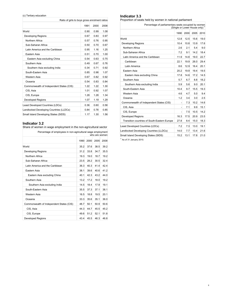(c) Tertiary education

| Ratio of girls to boys gross enrolment ratios |      |      |      |
|-----------------------------------------------|------|------|------|
|                                               | 1991 | 2000 | 2008 |
| World                                         | 0.90 | 0.99 | 1.08 |
| <b>Developing Regions</b>                     | 0.67 | 0.83 | 0.97 |
| Northern Africa                               | 0.57 | 0.76 | 0.95 |
| Sub-Saharan Africa                            | 0.50 | 0.70 | 0.67 |
| Latin America and the Caribbean               | 0.95 | 1.16 | 1.25 |
| Eastern Asia                                  | 0.51 | 0.70 | 1.00 |
| Eastern Asia excluding China                  | 0.54 | 0.63 | 0.75 |
| Southern Asia                                 | 0.49 | 0.67 | 0.76 |
| Southern Asia excluding India                 | 0.34 | 0.71 | 0.92 |
| South-Eastern Asia                            | 0.85 | 0.98 | 1.07 |
| Western Asia                                  | 0.67 | 0.82 | 0.92 |
| Oceania                                       | 0.54 | 0.83 | 0.84 |
| Commonwealth of Independent States (CIS)      | 1.22 | 1.22 | 1.30 |
| CIS, Asia                                     | 1.01 | 0.92 | 1.07 |
| CIS, Europe                                   | 1.28 | 1.28 | 1.34 |
| <b>Developed Regions</b>                      | 1.07 | 1.19 | 1.29 |
| Least Developed Countries (LDCs)              | 0.36 | 0.60 | 0.58 |
| Landlocked Developing Countries (LLDCs)       | 0.84 | 0.78 | 0.85 |
| Small Island Developing States (SIDS)         | 1.17 | 1.30 | 1.56 |

# **Indicator 3.2**

Share of women in wage employment in the non-agricultural sector

| Percentage of employees in non-agricultural wage employment |      |      | who are women |      |
|-------------------------------------------------------------|------|------|---------------|------|
|                                                             | 1990 | 2000 | 2005          | 2008 |
| World                                                       | 35.2 | 37.6 | 38.5          | 39.2 |
| <b>Developing Regions</b>                                   | 31.2 | 33.8 | 34.7          | 35.5 |
| Northern Africa                                             | 19.3 | 19.0 | 18.7          | 19.2 |
| Sub-Saharan Africa                                          | 23.5 | 28.2 | 30.5          | 32.4 |
| Latin America and the Caribbean                             | 36.3 | 40.3 | 41.4          | 42.4 |
| Eastern Asia                                                | 38.1 | 39.6 | 40.6          | 41.2 |
| Eastern Asia excluding China                                | 40.1 | 42.3 | 43.2          | 44.0 |
| Southern Asia                                               | 13.2 | 17.2 | 18.0          | 19.2 |
| Southern Asia excluding India                               | 14.5 | 18.4 | 17.9          | 19.1 |
| South-Eastern Asia                                          | 35.5 | 37.3 | 37.1          | 38.1 |
| Western Asia                                                | 16.5 | 18.8 | 19.5          | 20.1 |
| Oceania                                                     | 33.3 | 35.6 | 35.1          | 36.0 |
| Commonwealth of Independent States (CIS)                    | 48.7 | 50.1 | 50.9          | 50.6 |
| CIS, Asia                                                   | 44.3 | 44.7 | 45.5          | 45.2 |
| CIS, Europe                                                 | 49.6 | 51.2 | 52.1          | 51.8 |
| <b>Developed Regions</b>                                    | 43.4 | 45.5 | 46.3          | 46.8 |

# **Indicator 3.3**

Proportion of seats held by women in national parliament

Percentage of parliamentary seats occupied by women<br><sup>1/</sup> (Single or Lower House only)

|                                              | (Single or Lower House only) " |      |      |      |  |
|----------------------------------------------|--------------------------------|------|------|------|--|
|                                              | 1990                           | 2000 | 2005 | 2010 |  |
| World                                        | 12.8                           | 12.5 | 15.6 | 19.0 |  |
| Developing Regions                           | 10.4                           | 10.8 | 13.9 | 17.6 |  |
| Northern Africa                              | 2.6                            | 2.1  | 5.4  | 9.0  |  |
| Sub-Saharan Africa                           | 7.2                            | 9.1  | 14.2 | 18.4 |  |
| Latin America and the Caribbean              | 11.9                           | 14.8 | 19.0 | 22.7 |  |
| Caribbean                                    | 22.1                           | 19.9 | 26.0 | 29.4 |  |
| Latin America                                | 8.6                            | 12.9 | 16.4 | 20.1 |  |
| Eastern Asia                                 | 20.2                           | 19.9 | 19.4 | 19.5 |  |
| Eastern Asia excluding China                 | 17.8                           | 14.6 | 17.2 | 14.5 |  |
| Southern Asia                                | 5.7                            | 6.7  | 8.8  | 18.2 |  |
| Southern Asia excluding India                | 5.9                            | 5.6  | 9.0  | 20.1 |  |
| South-Eastern Asia                           | 10.4                           | 9.7  | 15.5 | 19.3 |  |
| Western Asia                                 | 4.6                            | 4.7  | 5.0  | 9.4  |  |
| Oceania                                      | 1.2                            | 3.4  | 3.0  | 2.5  |  |
| Commonwealth of Independent States (CIS)     |                                | 7.3  | 10.2 | 14.6 |  |
| CIS, Asia                                    |                                | 7.1  | 9.9  | 15.1 |  |
| CIS, Europe                                  |                                | 7.5  | 10.5 | 14.2 |  |
| Developed Regions                            | 16.3                           | 17.5 | 20.9 | 23.5 |  |
| Transition countries of South-Eastern Europe | 27.8                           | 8.4  | 15.0 | 18.3 |  |
| Least Developed Countries (LDCs)             | 7.2                            | 7.3  | 13.0 | 19.1 |  |
| Landlocked Developing Countries (LLDCs)      | 14.0                           | 7.7  | 13.4 | 21.6 |  |
| Small Island Developing States (SIDS)        | 15.2                           | 13.1 | 17.8 | 21.0 |  |
|                                              |                                |      |      |      |  |

 $1/$  As of 31 January 2010.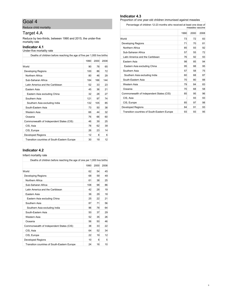Reduce child mortality

# Target 4.A

Reduce by two-thirds, between 1990 and 2015, the under-five mortality rate

# **Indicator 4.1**

#### Under-five mortality rate

| Deaths of children before reaching the age of five per 1,000 live births |      |      |      |
|--------------------------------------------------------------------------|------|------|------|
|                                                                          | 1990 | 2000 | 2008 |
| World                                                                    | 90   | 78   | 65   |
| <b>Developing Regions</b>                                                | 100  | 86   | 72   |
| Northern Africa                                                          | 80   | 46   | 29   |
| Sub-Saharan Africa                                                       | 184  | 166  | 144  |
| Latin America and the Caribbean                                          | 52   | 33   | 23   |
| Eastern Asia                                                             | 45   | 36   | 21   |
| Eastern Asia excluding China                                             | 32   | 28   | 27   |
| Southern Asia                                                            | 121  | 97   | 74   |
| Southern Asia excluding India                                            | 132  | 105  | 85   |
| South-Eastern Asia                                                       | 73   | 50   | 38   |
| Western Asia                                                             | 66   | 44   | 32   |
| Oceania                                                                  | 76   | 66   | 60   |
| Commonwealth of Independent States (CIS)                                 | 46   | 39   | 25   |
| CIS, Asia                                                                | 78   | 62   | 39   |
| CIS, Europe                                                              | 26   | 23   | 14   |
| <b>Developed Regions</b>                                                 | 12   | 8    | 6    |
| Transition countries of South-Eastern Europe                             | 30   | 19   | 12   |

# **Indicator 4.2**

#### Infant mortality rate

| Deaths of children before reaching the age of one per 1,000 live births |      |      |      |
|-------------------------------------------------------------------------|------|------|------|
|                                                                         | 1990 | 2000 | 2008 |
| World                                                                   | 62   | 54   | 45   |
| <b>Developing Regions</b>                                               | 68   | 59   | 49   |
| Northern Africa                                                         | 61   | 38   | 25   |
| Sub-Saharan Africa                                                      | 108  | 98   | 86   |
| Latin America and the Caribbean                                         | 42   | 28   | 19   |
| Eastern Asia                                                            | 36   | 29   | 18   |
| Eastern Asia excluding China                                            | 25   | 22   | 21   |
| Southern Asia                                                           | 87   | 71   | 56   |
| Southern Asia excluding India                                           | 96   | 78   | 64   |
| South-Eastern Asia                                                      | 50   | 37   | 29   |
| Western Asia                                                            | 52   | 35   | 26   |
| Oceania                                                                 | 56   | 50   | 46   |
| Commonwealth of Independent States (CIS)                                | 38   | 33   | 22   |
| CIS, Asia                                                               | 64   | 52   | 34   |
| CIS, Europe                                                             | 22   | 19   | 12   |
| <b>Developed Regions</b>                                                | 10   | 6    | 5    |
| Transition countries of South-Eastern Europe                            | 24   | 16   | 10   |

# **Indicator 4.3**

Proportion of one year-old children immunised against measles

Percentage of children 12-23 months who received at least one dose of measles vaccine

|                                              | 1990 | 2000 | 2008 |
|----------------------------------------------|------|------|------|
| World                                        | 73   | 72   | 83   |
| <b>Developing Regions</b>                    | 71   | 70   | 81   |
| Northern Africa                              | 85   | 93   | 92   |
| Sub-Saharan Africa                           | 57   | 55   | 72   |
| Latin America and the Caribbean              | 76   | 92   | 93   |
| Fastern Asia                                 | 98   | 85   | 94   |
| Eastern Asia excluding China                 | 95   | 88   | 95   |
| Southern Asia                                | 57   | 58   | 75   |
| Southern Asia excluding India                | 60   | 68   | 87   |
| South-Eastern Asia                           | 70   | 80   | 88   |
| Western Asia                                 | 79   | 84   | 83   |
| Oceania                                      | 70   | 68   | 58   |
| Commonwealth of Independent States (CIS)     | 85   | 95   | 96   |
| CIS, Asia                                    |      | 93   | 93   |
| CIS, Europe                                  | 85   | 97   | 98   |
| Developed Regions                            | 84   | 91   | 93   |
| Transition countries of South-Eastern Europe | 93   | 93   | 95   |

9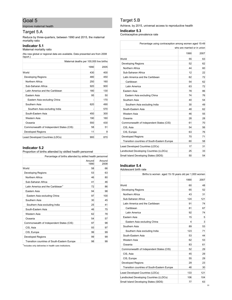Improve maternal health

# Target 5.A

Reduce by three-quarters, between 1990 and 2015, the maternal mortality ratio

# **Indicator 5.1**

Maternal mortality ratio

(No new global or regional data are available. Data presented are from 2008 report.)

| Maternal deaths per 100,000 live births  |      |      |
|------------------------------------------|------|------|
|                                          | 1990 | 2005 |
| World                                    | 430  | 400  |
| <b>Developing Regions</b>                | 480  | 450  |
| Northern Africa                          | 250  | 160  |
| Sub-Saharan Africa                       | 920  | 900  |
| Latin America and the Caribbean          | 180  | 130  |
| Eastern Asia                             | 95   | 50   |
| Eastern Asia excluding China             |      | 170  |
| Southern Asia                            | 620  | 490  |
| Southern Asia excluding India            |      | 570  |
| South-Eastern Asia                       | 450  | 300  |
| Western Asia                             | 190  | 160  |
| Oceania                                  | 550  | 430  |
| Commonwealth of Independent States (CIS) | 58   | 51   |
| <b>Developed Regions</b>                 | 11   | 9    |
| Least Developed Countries (LDCs)         | 900  | 870  |

# **Indicator 5.2**

Proportion of births attended by skilled health personnel

| Percentage of births attended by skilled health personnel |                |                |
|-----------------------------------------------------------|----------------|----------------|
|                                                           | Around<br>1990 | Around<br>2008 |
| World                                                     | 58             | 66             |
| Developing Regions                                        | 53             | 63             |
| Northern Africa                                           | 46             | 80             |
| Sub-Saharan Africa                                        | 41             | 46             |
| Latin America and the Caribbean <sup>1/</sup>             | 72             | 86             |
| Eastern Asia                                              | 94             | 98             |
| Eastern Asia excluding China                              | 97             | 100            |
| Southern Asia                                             | 30             | 45             |
| Southern Asia excluding India                             | 25             | 41             |
| South-Eastern Asia                                        | 46             | 75             |
| Western Asia                                              | 62             | 78             |
| Oceania                                                   | 54             | 57             |
| Commonwealth of Independent States (CIS)                  | 97             | 98             |
| CIS, Asia                                                 | 93             | 97             |
| CIS, Europe                                               | 99             | 99             |
| <b>Developed Regions</b>                                  | 99             | 99             |
| Transition countries of South-Eastern Europe              | 98             | 99             |

 $"$ Includes only deliveries in health care institutions.

# Target 5.B

Achieve, by 2015, universal access to reproductive health

### **Indicator 5.3**

Contraceptive prevalence rate

| Percentage using contraception among women aged 15-49 |                             |      |
|-------------------------------------------------------|-----------------------------|------|
|                                                       | who are married or in union |      |
|                                                       | 1990                        | 2007 |
| World                                                 | 55                          | 63   |
| <b>Developing Regions</b>                             | 52                          | 62   |
| Northern Africa                                       | 44                          | 60   |
| Sub-Saharan Africa                                    | 12                          | 22   |
| Latin America and the Caribbean                       | 62                          | 72   |
| Caribbean                                             | 54                          | 62   |
| Latin America                                         | 63                          | 72   |
| Eastern Asia                                          | 78                          | 86   |
| Eastern Asia excluding China                          | 74                          | 76   |
| Southern Asia                                         | 40                          | 54   |
| Southern Asia excluding India                         | 30                          | 49   |
| South-Eastern Asia                                    | 48                          | 62   |
| Western Asia                                          | 46                          | 55   |
| Oceania                                               | 28                          | 28   |
| Commonwealth of Independent States (CIS)              | 61                          | 70   |
| CIS, Asia                                             | 54                          | 56   |
| CIS, Europe                                           | 63                          | 76   |
| <b>Developed Regions</b>                              | 70                          | 71   |
| Transition countries of South-Eastern Europe          | 60                          | 58   |
| Least Developed Countries (LDCs)                      | 17                          | 31   |
| Landlocked Developing Countries (LLDCs)               | 25                          | 33   |
| Small Island Developing States (SIDS)                 | 50                          | 54   |

# **Indicator 5.4**

|  |  | Adolescent birth rate |  |  |
|--|--|-----------------------|--|--|
|--|--|-----------------------|--|--|

| Births to women aged 15-19 years old per 1,000 women |      |      |
|------------------------------------------------------|------|------|
|                                                      | 1990 | 2007 |
| World                                                | 60   | 48   |
| Developing Regions                                   | 65   | 52   |
| Northern Africa                                      | 43   | 31   |
| Sub-Saharan Africa                                   | 124  | 121  |
| Latin America and the Caribbean                      | 91   | 74   |
| Caribbean                                            | 81   | 67   |
| Latin America                                        | 92   | 74   |
| Eastern Asia                                         | 15   | 5    |
| Eastern Asia excluding China                         | 4    | 3    |
| Southern Asia                                        | 89   | 53   |
| Southern Asia excluding India                        | 123  | 71   |
| South-Eastern Asia                                   | 53   | 44   |
| Western Asia                                         | 62   | 53   |
| Oceania                                              | 83   | 61   |
| Commonwealth of Independent States (CIS)             | 52   | 29   |
| CIS, Asia                                            | 45   | 29   |
| CIS, Europe                                          | 55   | 29   |
| <b>Developed Regions</b>                             | 29   | 23   |
| Transition countries of South-Eastern Europe         | 48   | 30   |
| Least Developed Countries (LDCs)                     | 133  | 121  |
| Landlocked Developing Countries (LLDCs)              | 106  | 104  |
| Small Island Developing States (SIDS)                | 77   | 63   |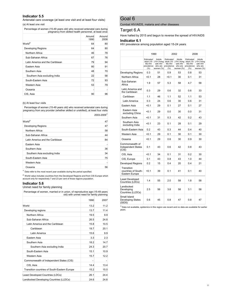### **Indicator 5.5**

Antenatal care coverage (at least one visit and at least four visits) (a) At least one visit

Percentage of women (15-49 years old) who received antenatal care during pregnancy from skilled health personnel, at least once

|                                 | Around<br>1990 | Around<br>2008 |
|---------------------------------|----------------|----------------|
| World <sup>2</sup>              | 64             | 80             |
| Developing Regions              | 64             | 80             |
| Northern Africa                 | 46             | 78             |
| Sub-Saharan Africa              | 67             | 76             |
| Latin America and the Caribbean | 79             | 94             |
| Eastern Asia                    | 80             | 91             |
| Southern Asia                   | 48             | 70             |
| Southern Asia excluding India   | 22             | 58             |
| South-Eastern Asia              | 72             | 93             |
| Western Asia                    | 53             | 79             |
| Oceania                         |                |                |
| CIS, Asia                       | 90             | 96             |

(b) At least four visits

| Percentage of women (15-49 years old) who received antenatal care during<br>pregnancy from any provider (whether skilled or unskilled), at least four visits |                |
|--------------------------------------------------------------------------------------------------------------------------------------------------------------|----------------|
|                                                                                                                                                              | $2003 - 20091$ |
| World <sup>2</sup>                                                                                                                                           | 47             |
| Developing Regions                                                                                                                                           | 47             |
| Northern Africa                                                                                                                                              | 58             |
| Sub-Saharan Africa                                                                                                                                           | 44             |
| Latin America and the Caribbean                                                                                                                              | 84             |
| Eastern Asia                                                                                                                                                 |                |
| Southern Asia                                                                                                                                                | 36             |
| Southern Asia excluding India                                                                                                                                | 34             |
| South-Eastern Asia                                                                                                                                           | 75             |
| Western Asia                                                                                                                                                 |                |
| Oceania                                                                                                                                                      | 56             |

 $1/1$  Data refer to the most recent year available during the period specified.

 $^{2l}$  World value includes countries from the Developed Regions and from CIS Europe which account only for respectively 7 and 23 per cent of those regions population.

# **Indicator 5.6**

| Percentage of women, married or in union, of reproductive age (15-49 years<br>old) with unmet need for family planning |      |      |
|------------------------------------------------------------------------------------------------------------------------|------|------|
|                                                                                                                        | 1990 | 2007 |
| World                                                                                                                  | 13.2 | 11.2 |
| Developing regions                                                                                                     | 13.7 | 11.4 |
| Northern Africa                                                                                                        | 19.5 | 9.9  |
| Sub-Saharan Africa                                                                                                     | 26.5 | 24 8 |
| Latin America and the Caribbean                                                                                        | 15.8 | 10.5 |
| Caribbean                                                                                                              | 197  | 201  |
| Latin America                                                                                                          | 15.6 | 9.9  |
| Fastern Asia                                                                                                           | 3.3  | 2.3  |
| Southern Asia                                                                                                          | 18.2 | 14.7 |
| Southern Asia excluding India                                                                                          | 24.3 | 20.7 |
| South-Eastern Asia                                                                                                     | 151  | 10.9 |
| Western Asia                                                                                                           | 15.7 | 12.2 |
| Commonwealth of Independent States (CIS)                                                                               |      |      |
| CIS, Asia                                                                                                              | 14.4 | 13.4 |
| Transition countries of South-Eastern Europe                                                                           | 15.2 | 15.0 |
| Least Developed Countries (LDCs)                                                                                       | 26.1 | 24.4 |
| Landlocked Developing Countries (LLDCs)                                                                                | 24.6 | 24.8 |

# Goal 6

Combat HIV/AIDS, malaria and other diseases

# Target 6.A

Have halted by 2015 and begun to reverse the spread of HIV/AIDS

### **Indicator 6.1**

HIV prevalence among population aged 15-24 years

|                                                       | 1990                                                    |                                                              | 2002                                                     |                                                              |                                                             | 2008                                                         |
|-------------------------------------------------------|---------------------------------------------------------|--------------------------------------------------------------|----------------------------------------------------------|--------------------------------------------------------------|-------------------------------------------------------------|--------------------------------------------------------------|
|                                                       | Estimated<br>adult (15-<br>49) HIV<br>prevalence<br>(%) | Adults<br>$(15+)$ living<br>with HIV<br>who are<br>women (%) | Estimated<br>adult (15-<br>49) HIV<br>prevalence<br>(% ) | Adults<br>$(15+)$ living<br>with HIV<br>who are<br>women (%) | Estimated<br>adult (15-<br>49) HIV<br>prevalence<br>$(\% )$ | Adults<br>$(15+)$ living<br>with HIV<br>who are<br>women (%) |
| Developing Regions                                    | 0.3                                                     | 51                                                           | 0.9                                                      | 53                                                           | 0.8                                                         | 53                                                           |
| Northern Africa                                       | < 0.1                                                   | 28                                                           | < 0.1                                                    | 30                                                           | 0.1                                                         | 31                                                           |
| Sub-Saharan<br>Africa                                 | 1.9                                                     | 57                                                           | 5.3                                                      | 58                                                           | 4.7                                                         | 58                                                           |
| Latin America and<br>the Caribbean                    | 0.3                                                     | 29                                                           | 0.6                                                      | 32                                                           | 0.6                                                         | 33                                                           |
| Caribbean                                             | 1.1                                                     | 46                                                           | 1.1                                                      | 52                                                           | 1.1                                                         | 53                                                           |
| Latin America                                         | 0.3                                                     | 24                                                           | 0.6                                                      | 30                                                           | 0.6                                                         | 31                                                           |
| Eastern Asia                                          | < 0.1                                                   | 29                                                           | 0.1                                                      | 27                                                           | 0.1                                                         | 27                                                           |
| Eastern Asia<br>excluding China                       | < 0.1                                                   | 29                                                           | 0.0                                                      | 30                                                           | 0.0                                                         | 31                                                           |
| Southern Asia                                         | < 0.1                                                   | 31                                                           | 0.3                                                      | 42                                                           | 0.2                                                         | 43                                                           |
| Southern Asia<br>excluding India                      | < 0.1                                                   | 23                                                           | 0.1                                                      | 28                                                           | 0.1                                                         | 29                                                           |
| South-Eastern Asia                                    | 0.2                                                     | 43                                                           | 0.3                                                      | 44                                                           | 0.4                                                         | 40                                                           |
| Western Asia                                          | < 0.1                                                   | 29                                                           | 0.1                                                      | 30                                                           | 0.1                                                         | 30                                                           |
| Oceania                                               | < 0.1                                                   | 29                                                           | 0.6                                                      | 30                                                           | 0.9                                                         | 30                                                           |
| Commonwealth of<br><b>Independent States</b><br>(CIS) | 0.1                                                     | 43                                                           | 0.6                                                      | 42                                                           | 0.8                                                         | 43                                                           |
| CIS, Asia                                             | < 0.1                                                   | 34                                                           | 0.1                                                      | 31                                                           | 0.2                                                         | 30                                                           |
| CIS, Europe                                           | 0.1                                                     | 43                                                           | 0.8                                                      | 43                                                           | 1.0                                                         | 44                                                           |
| <b>Developed Regions</b>                              | 0.2                                                     | 15                                                           | 0.4                                                      | 20                                                           | 0.4                                                         | 21                                                           |
| Transition<br>countries of South-<br>Eastern Europe   | < 0.1                                                   | 39                                                           | 0.1                                                      | 41                                                           | 0.1                                                         | 40                                                           |
| <b>Least Developed</b><br>Countries (LDCs)            | 1.4                                                     | 55                                                           | 2.0                                                      | 58                                                           | 1.8                                                         | 58                                                           |
| Landlocked<br>Developing<br>Countries (LLDCs)         | 2.5                                                     | 56                                                           | 3.8                                                      | 58                                                           | 3.1                                                         | 58                                                           |
| Small Island<br>Developing States<br>(SIDS)           | 0.6                                                     | 45                                                           | 0.8                                                      | 47                                                           | 0.8                                                         | 47                                                           |

 $1/2$  Data not available, epidemics in this region are recent and no data are available for earlier years.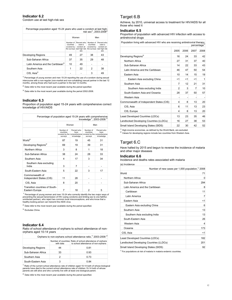#### **Indicator 6.2** Condom use at last high-risk sex

| Percentage population aged 15-24 years who used a condom at last high- |                                                     |                                                             |                                                     | risk sex <sup>1</sup> /. 2003-2008 <sup>2/</sup>            |  |
|------------------------------------------------------------------------|-----------------------------------------------------|-------------------------------------------------------------|-----------------------------------------------------|-------------------------------------------------------------|--|
|                                                                        |                                                     | Women                                                       |                                                     | Men                                                         |  |
|                                                                        | Number of<br>countries<br>covered by<br>the surveys | Percent who<br>used a<br>condom at<br>last high risk<br>sex | Number of<br>countries<br>covered by<br>the surveys | Percent who<br>used a<br>condom at<br>last high risk<br>sex |  |
| Developing Regions                                                     | 49                                                  | 27                                                          | 38                                                  | 43                                                          |  |
| Sub-Saharan Africa                                                     | 37                                                  | 35                                                          | 29                                                  | 48                                                          |  |
| Latin America and the Caribbean <sup>3/</sup>                          | 10                                                  | 49                                                          |                                                     |                                                             |  |
| Southern Asia                                                          | 1                                                   | 22                                                          | 2                                                   | 38                                                          |  |
| CIS. Asia <sup>3</sup>                                                 |                                                     |                                                             | 3                                                   | 49                                                          |  |

 $1/$  Percentage of young women and men 15-24 reporting the use of a condom during sexual intercourse with a non-regular (non-marital and non-cohabiting) sexual partner in the last 12 months, among those who had such a partner in the last 12 months.

 $2^{7}$  Data refer to the most recent year available during the period specified.

 $3<sup>7</sup>$  Data refer to the most recent year available during the period 2002-2008.

#### **Indicator 6.3**

Proportion of population aged 15-24 years with comprehensive correct knowledge of HIV/AIDS

| Percentage of population aged 15-24 years with comprehensive |                                   |                                  |                                   | knowledge <sup>1</sup> /, 2003-2008 <sup>2/</sup>                                             |
|--------------------------------------------------------------|-----------------------------------|----------------------------------|-----------------------------------|-----------------------------------------------------------------------------------------------|
|                                                              |                                   | Women                            |                                   | Men                                                                                           |
|                                                              | Number of<br>countries<br>surveys | Percent who<br>have<br>knowledge | Number of<br>countries<br>surveys | Percent who<br>have<br>covered by the comprehensive covered by the comprehensive<br>knowledge |
| World <sup>3/</sup>                                          | 87                                | 19                               | 45                                | 31                                                                                            |
| Developing Regions <sup>3/</sup>                             | 69                                | 19                               | 39                                | 31                                                                                            |
| Northern Africa                                              | 3                                 | 8                                | 1                                 | 18                                                                                            |
| Sub-Saharan Africa                                           | 38                                | 24                               | 28                                | 33                                                                                            |
| Southern Asia                                                | 4                                 | 17                               | 3                                 | 34                                                                                            |
| Southern Asia excluding<br>India                             | 3                                 | $\overline{7}$                   |                                   |                                                                                               |
| South-Eastern Asia                                           | 5                                 | 22                               | 3                                 | 17                                                                                            |
| Commonwealth of<br>Independent States (CIS)                  | 11                                | 28                               |                                   |                                                                                               |
| CIS, Asia                                                    | 8                                 | 20                               |                                   |                                                                                               |
| Transition countries of South-<br>Eastern Europe             | 7                                 | 18                               | 2                                 | 5                                                                                             |

<sup>1/</sup> Percentage of young women and men 15-24 who correctly identify the two major ways of preventing the sexual transmission of HIV (using condoms and limiting sex to one faithful, uninfected partner), who reject two common local misconceptions, and who know that a healthy-looking person can transmit the AIDS virus.

 $2^{7}$  Data refer to the most recent year available during the period specified.

3/ Excludes China.

#### **Indicator 6.4**

Ratio of school attendance of orphans to school attendance of nonorphans aged 10-14 years

| Orphans to non-orphans school attendance ratio, <sup>1</sup> 2003-2008 <sup>2</sup> |           |                                                                                                  |  |  |
|-------------------------------------------------------------------------------------|-----------|--------------------------------------------------------------------------------------------------|--|--|
|                                                                                     | with data | Number of countries Ratio of school attendance of orphans<br>to school attendance of non-orphans |  |  |
| Developing Regions                                                                  | 44        | 0.81                                                                                             |  |  |
| Sub-Saharan Africa                                                                  | 33        | 0.93                                                                                             |  |  |
| Southern Asia                                                                       | 2         | 0.73                                                                                             |  |  |
| South-Eastern Asia                                                                  | 3         | 0.84                                                                                             |  |  |

 $^{\text{1}}$  Ratio of the current school attendance rate of children aged 10-14 both of whose biological parents have died to the current school attendance rate of children 10-14 both of whose parents are still alive and who currently live with at least one biological parent.

 $2^{7}$  Data refer to the most recent year available during the period specified.

# Target 6.B

Achieve, by 2010, universal access to treatment for HIV/AIDS for all those who need it

#### **Indicator 6.5**

Proportion of population with advanced HIV infection with access to antiretroviral drugs

| Population living with advanced HIV who are receiving antiretroviral therapy, |      |       | percentage |      |
|-------------------------------------------------------------------------------|------|-------|------------|------|
|                                                                               | 2005 | 2006  | 2007       | 2008 |
| Developing Regions <sup>2/</sup>                                              | 16   | 24    | 33         | 42   |
| Northern Africa                                                               | 27   | 31    | 37         | 40   |
| Sub-Saharan Africa                                                            | 14   | 22    | 33         | 43   |
| Latin America and the Caribbean                                               | 46   | 47    | 50         | 54   |
| Eastern Asia                                                                  | 10   | 14    | 15         | 19   |
| Eastern Asia excluding China                                                  | <1   | $<$ 1 | <1         | 1    |
| Southern Asia                                                                 | 7    | 12    | 21         | 31   |
| Southern Asia excluding India                                                 | 2    | 3     | 7          | 10   |
| South-Eastern Asia and Oceania                                                | 28   | 37    | 50         | 57   |
| Western Asia                                                                  |      |       |            |      |
| Commonwealth of Independent States (CIS)                                      | 4    | 8     | 13         | 20   |
| CIS, Asia                                                                     | 6    | 11    | 13         | 23   |
| CIS, Europe                                                                   | 4    | 8     | 13         | 20   |
| Least Developed Countries (LDCs)                                              | 13   | 23    | 35         | 46   |
| Landlocked Developing Countries (LLDCs)                                       | 16   | 27    | 38         | 53   |
| Small Island Developing States (SIDS)                                         | 22   | 30    | 42         | 52   |

 $1/$  High-income economies, as defined by the World Bank, are excluded.

<sup>21</sup> Values for developing regions include two countries from Western Asia.

# Target 6.C

Have halted by 2015 and begun to reverse the incidence of malaria and other major diseases

#### **Indicator 6.6**

Incidence and deaths rates associated with malaria

<sup>(</sup>a) Incidence

| Number of new cases per 1,000 population, <sup>1/</sup> 2008 |       |
|--------------------------------------------------------------|-------|
| World                                                        | 71    |
| Northern Africa                                              | 0     |
| Sub-Saharan Africa                                           | 294   |
| Latin America and the Caribbean                              | 8     |
| Caribbean                                                    | 11    |
| Latin America                                                | 7     |
| Eastern Asia                                                 | $<$ 1 |
| Eastern Asia excluding China                                 | 6     |
| Southern Asia                                                | 13    |
| Southern Asia excluding India                                | 13    |
| South-Eastern Asia                                           | 26    |
| Western Asia                                                 | 4     |
| Oceania                                                      | 173   |
| CIS, Asia                                                    | $<$ 1 |
| Least Developed Countries (LDCs)                             | 182   |
| Landlocked Developing Countries (LLDCs)                      | 201   |
| Small Island Developing States (SIDS)                        | 92    |
|                                                              |       |

 $1/$  For populations at risk of malaria in malaria endemic countries.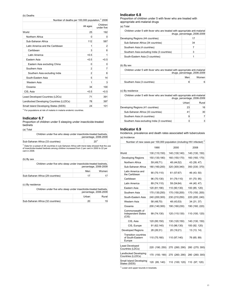#### (b) Deaths

| Number of deaths per 100,000 population, <sup>1/</sup> 2008 |                |                        |
|-------------------------------------------------------------|----------------|------------------------|
|                                                             | All ages       | Children<br>under five |
| World                                                       | 25             | 192                    |
| Northern Africa                                             | 0              | 0                      |
| Sub-Saharan Africa                                          | 112            | 587                    |
| Latin America and the Caribbean                             | 1              | 2                      |
| Caribbean                                                   | 3              | 8                      |
| Latin America                                               | < 0.5          | 1                      |
| Eastern Asia                                                | < 0.5          | < 0.5                  |
| Eastern Asia excluding China                                | 0              | 0                      |
| Southern Asia                                               | $\overline{2}$ | $\overline{7}$         |
| Southern Asia excluding India                               | $\overline{2}$ | 8                      |
| South-Eastern Asia                                          | 5              | 14                     |
| Western Asia                                                | 1              | 3                      |
| Oceania                                                     | 34             | 100                    |
| CIS, Asia                                                   | < 0.5          | < 0.5                  |
| Least Developed Countries (LDCs)                            | 71             | 391                    |
| Landlocked Developing Countries (LLDCs)                     | 78             | 397                    |
| Small Island Developing States (SIDS)                       | 24             | 101                    |

 $<sup>17</sup>$  For populations at risk of malaria in malaria endemic countries.</sup>

#### **Indicator 6.7**

Proportion of children under 5 sleeping under insecticide-treated bednets

#### (a) Total

| Children under five who sleep under insecticide-treated bednets. | percentage, 2006-2009 |
|------------------------------------------------------------------|-----------------------|
| Sub-Saharan Africa (33 countries)                                | $20^{1/2}$            |

 $^{\prime\prime}$  Data for a subset of 26 countries in sub-Saharan Africa with trend data showed that the use<br>of insecticide-treated bednets among children increased from 2 per cent in 2000 to 22 per cent in 2008.

#### (b) By sex

| Children under five who sleep under insecticide-treated bednets, |     | percentage, 2006-2009 |
|------------------------------------------------------------------|-----|-----------------------|
|                                                                  | Men | Women                 |
| Sub-Saharan Africa (29 countries)                                | 17  | 17                    |

#### (c) By residence

| Children under five who sleep under insecticide-treated bednets, |       | percentage, 2006-2009 |
|------------------------------------------------------------------|-------|-----------------------|
|                                                                  | Urban | Rural                 |
| Sub-Saharan Africa (32 countries)                                | 20    | 19                    |

### **Indicator 6.8**

Proportion of children under 5 with fever who are treated with appropriate anti-malarial drugs

(a) Total

| Children under 5 with fever who are treated with appropriate anti-malarial<br>drugs, percentage, 2006-2009 |    |  |
|------------------------------------------------------------------------------------------------------------|----|--|
| Developing Regions (44 countries)                                                                          | 17 |  |
| Sub-Saharan Africa (34 countries)                                                                          | 34 |  |
| Southern Asia (4 countries)                                                                                | 7  |  |
| Southern Asia excluding India (3 countries)                                                                | 3  |  |
| South-Eastern Asia (3 countries)                                                                           | 1  |  |

#### (b) By sex

| Children under 5 with fever who are treated with appropriate anti-malarial | drugs, percentage, 2006-2009 |  |  |  |  |  |
|----------------------------------------------------------------------------|------------------------------|--|--|--|--|--|
|                                                                            | Women<br>Men                 |  |  |  |  |  |
| Southern Asia (3 countries)                                                |                              |  |  |  |  |  |
|                                                                            |                              |  |  |  |  |  |

#### (c) By residence

| Children under 5 with fever who are treated with appropriate anti-malarial<br>drugs, percentage, 2006-2009 |    |    |  |  |
|------------------------------------------------------------------------------------------------------------|----|----|--|--|
| Rural<br>Urban                                                                                             |    |    |  |  |
| Developing Regions (41 countries)                                                                          | 23 | 16 |  |  |
| Sub-Saharan Africa (33 countries)                                                                          | 41 | 30 |  |  |
| Southern Asia (4 countries)                                                                                | 9  |    |  |  |
| Southern Asia excluding India (3 countries)                                                                | 3  |    |  |  |

# **Indicator 6.9**

Incidence, prevalence and death rates associated with tuberculosis (a) Incidence

| Number of new cases per 100,000 population (including HIV infected) $^{1/2}$ |                |                |                |
|------------------------------------------------------------------------------|----------------|----------------|----------------|
|                                                                              | 1990           | 2000           | 2008           |
| World                                                                        | 130 (110;150)  | 140 (130;140)  | 140 (130; 150) |
| <b>Developing Regions</b>                                                    | 150 (130;180)  | 160 (150;170)  | 160 (160; 170) |
| Northern Africa                                                              | 59 (49;71)     | 48 (44;52)     | 43 (39; 47)    |
| Sub-Saharan Africa                                                           | 180 (160;200)  | 320 (300;340)  | 350 (330; 370) |
| Latin America and<br>the Caribbean                                           | 90 (75;110)    | 61 (57;67)     | 46 (43; 50)    |
| Caribbean                                                                    | 96 (70;130)    | 91 (79;110)    | 81 (70; 95)    |
| Latin America                                                                | 89 (74;110)    | 59 (54;64)     | 44 (40; 47)    |
| Eastern Asia                                                                 | 120 (81;190)   | 110 (90;130)   | 100 (85; 120)  |
| Southern Asia                                                                | 170 (130;250)  | 170 (150;200)  | 170 (150; 200) |
| South-Eastern Asia                                                           | 240 (200;300)  | 230 (210;250)  | 220 (200; 240) |
| Western Asia                                                                 | 58 (48;70)     | 48 (43;53)     | 34 (31; 37)    |
| Oceania                                                                      | 200 (140;300)  | 190 (160;230)  | 190 (160; 220) |
| Commonwealth of<br><b>Independent States</b><br>(CIS)                        | 99 (74;130)    | 120 (110;130)  | 110 (100; 120) |
| CIS, Asia                                                                    | 120 (95;150)   | 130 (120;150)  | 140 (130; 150) |
| CIS, Europe                                                                  | 91 (62;140)    | 110 (96;130)   | 100 (92; 120)  |
| <b>Developed Regions</b>                                                     | 28 (26;31)     | 20 (19;21)     | 13 (13; 14)    |
| <b>Transition countries</b><br>of South-Eastern<br>Europe                    | 110 (75;160)   | 110 (97;140)   | 76 (65; 89)    |
| Least Developed<br>Countries (LDCs)                                          | 220 (190; 250) | 270 (260; 290) | 280 (270; 300) |
| Landlocked Developing<br>Countries (LLDCs)                                   | 170 (150; 190) | 270 (260; 290) | 280 (260; 300) |
| Small Island Developing<br>States (SIDS)                                     | 120 (95; 140)  | 110 (100; 120) | 110 (97; 120)  |

 $1/$  Lower and upper bounds in brackets.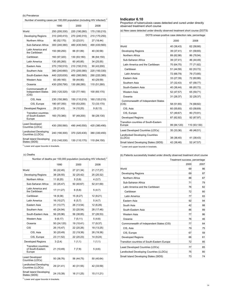(b) Prevalence

| Number of existing cases per 100,000 population (including HIV infected) $^{\text{1}}$ |               |               |               |  |
|----------------------------------------------------------------------------------------|---------------|---------------|---------------|--|
|                                                                                        | 1990          | 2000          | 2008          |  |
| World                                                                                  | 250 (200;330) | 220 (190;260) | 170 (150;210) |  |
| <b>Developing Regions</b>                                                              | 310 (240;410) | 270 (240;310) | 210 (170;250) |  |
| Northern Africa                                                                        | 80 (52;170)   | 33 (23;51)    | 27 (18:44)    |  |
| Sub-Saharan Africa                                                                     | 300 (240;380) | 480 (430;540) | 490 (430;560) |  |
| Latin America and<br>the Caribbean                                                     | 150 (90;250)  | 66 (51;89)    | 40 (30;58)    |  |
| Caribbean                                                                              | 160 (97;320)  | 130 (93;180)  | 96 (64;150)   |  |
| Latin America                                                                          | 130 (85;260)  | 60 (45;85)    | 34 (25;55)    |  |
| Eastern Asia                                                                           | 270 (150;510) | 210 (150;310) | 90 (43;200)   |  |
| Southern Asia                                                                          | 380 (240;660) | 270 (200;380) | 220 (150;330) |  |
| South-Eastern Asia                                                                     | 440 (320;630) | 460 (380;560) | 290 (220;380) |  |
| Western Asia                                                                           | 83 (49;160)   | 59 (44;80)    | 40 (29;59)    |  |
| Oceania                                                                                | 430 (250;790) | 130 (68;280)  | 110 (51;260)  |  |
| Commonwealth of<br><b>Independent States</b><br>(CIS)                                  | 200 (120;320) | 120 (77;190)  | 100 (65;170)  |  |
| CIS, Asia                                                                              | 230 (150;360) | 150 (110;210) | 160 (120;210) |  |
| CIS, Europe                                                                            | 180 (97;350)  | 100 (53;200)  | 72 (33;170)   |  |
| <b>Developed Regions</b>                                                               | 29 (21;43)    | 14 (10;20)    | 9(6;13)       |  |
| <b>Transition countries</b><br>of South-Eastern<br>Europe                              | 160 (70;380)  | 97 (49;200)   | 58 (28;130)   |  |
| Least Developed<br>Countries (LDCs)                                                    | 430 (350;560) | 490 (440;550) | 420 (380;490) |  |
| Landlocked Developing<br>Countries (LLDCs)                                             | 240 (190;300) | 370 (320;430) | 380 (330;450) |  |
| Small Island Developing<br>States (SIDS)                                               | 210 (140;330) | 130 (110;170) | 110 (84;150)  |  |

 $1/1$  Lower and upper bounds in brackets.

#### (c) Deaths

| Number of deaths per 100,000 population (excluding HIV infected) <sup>1/</sup> |             |            |            |  |
|--------------------------------------------------------------------------------|-------------|------------|------------|--|
|                                                                                | 2008        |            |            |  |
| World                                                                          | 30 (22;45)  | 27 (21;34) | 21 (17;27) |  |
| <b>Developing Regions</b>                                                      | 38 (26;55)  | 32 (25;42) | 25 (20;32) |  |
| Northern Africa                                                                | 11 (6;20)   | 5(3;8)     | 4(3;7)     |  |
| Sub-Saharan Africa                                                             | 33 (25;47)  | 50 (40;67) | 52 (41;69) |  |
| Latin America and<br>the Caribbean                                             | 17 (11;27)  | 6(5;8)     | 5(4;7)     |  |
| Caribbean                                                                      | 18 (9;38)   | 15 (8;27)  | 12 (8;21)  |  |
| Latin America                                                                  | 16 (10;27)  | 6(5;7)     | 5(4;7)     |  |
| Eastern Asia                                                                   | 31 (13;77)  | 26 (13;54) | 12 (6;26)  |  |
| Southern Asia                                                                  | 45 (24;94)  | 33 (20;54) | 28 (17;46) |  |
| South-Eastern Asia                                                             | 56 (35;96)  | 56 (38;85) | 37 (26;53) |  |
| Western Asia                                                                   | 9(6;17)     | 7(5;11)    | 5(4,8)     |  |
| Oceania                                                                        | 50 (24;120) | 19 (10;41) | 17 (9;37)  |  |
| CIS                                                                            | 26 (15;47)  | 22 (20;26) | 18 (13;25) |  |
| CIS, Asia                                                                      | 30 (20;49)  | 22 (19;36) | 26 (19;36) |  |
| CIS, Europe                                                                    | 23 (11;52)  | 22 (20;23) | 14 (9;24)  |  |
| <b>Developed Regions</b>                                                       | 3(2,4)      | 1(1;1)     | 1(1;1)     |  |
| <b>Transition countries</b><br>of South-Eastern<br>Europe                      | 21 (10:49)  | 7(7;8)     | 5(4,6)     |  |
| Least Developed<br>Countries (LDCs)                                            | 50 (36:76)  | 56 (44;75) | 50 (40;64) |  |
| Landlocked Developing<br>Countries (LLDCs)                                     | 29 (21;41)  | 40 (31;55) | 42 (33;59) |  |
| Small Island Developing<br>States (SIDS)                                       | 24 (15;39)  | 16 (11;25) | 15 (11;21) |  |

 $1/1$  Lower and upper bounds in brackets.

### **Indicator 6.10**

Proportion of tuberculosis cases detected and cured under directly observed treatment short course

(a) New cases detected under directly observed treatment short course (DOTS)

DOTS smear-positive case detection rate, percentage

|                                                   | 2000        | 2008         |
|---------------------------------------------------|-------------|--------------|
|                                                   |             |              |
| World                                             | 40 (38;43)  | 62 (58;66)   |
| <b>Developing Regions</b>                         | 39 (37;41)  | 61 (58;65)   |
| Northern Africa                                   | 89 (82;98)  | 86 (78;94)   |
| Sub-Saharan Africa                                | 39 (37;41)  | 46 (44;49)   |
| Latin America and the Caribbean                   | 70 (64;75)  | 77 (71;82)   |
| Caribbean                                         | 51 (44;59)  | 62 (53;72)   |
| Latin America                                     | 72 (66;79)  | 79 (73;85)   |
| Eastern Asia                                      | 33 (27;39)  | 72 (60;86)   |
| Southern Asia                                     | 37 (32;43)  | 67 (58;77)   |
| South-Eastern Asia                                | 40 (36:44)  | 66 (60;72)   |
| Western Asia                                      | 52 (47;57)  | 65 (59;71)   |
| Oceania                                           | 31 (26;37)  | 32 (28;37)   |
| Commonwealth of Independent States<br>(CIS)       | 58 (51;65)  | 74 (68;82)   |
| CIS, Asia                                         | 60 (55;65)  | 63 (58;69)   |
| CIS, Europe                                       | 57 (49;67)  | 80 (70;91)   |
| Developed Regions                                 | 87 (82;92)  | 92 (87;97)   |
| Transition countries of South-Eastern<br>Europe   | 99 (84;120) | 110 (93;130) |
| Least Developed Countries (LDCs)                  | 35 (33;36)  | 49 (46;51)   |
| <b>Landlocked Developing Countries</b><br>(LLDCs) | 38 (36:40)  | 41 (38:43)   |
| Small Island Developing States (SIDS)             | 42 (38:46)  | 52 (47;57)   |
|                                                   |             |              |

 $1/$  Lower and upper bounds in brackets.

(b) Patients successfully treated under directly observed treatment short course

|                                              | Treatment success, percentage |      |
|----------------------------------------------|-------------------------------|------|
|                                              | 2000                          | 2007 |
| World                                        | 69                            | 86   |
| Developing Regions                           | 69                            | 87   |
| Northern Africa                              | 88                            | 87   |
| Sub-Saharan Africa                           | 71                            | 79   |
| Latin America and the Caribbean              | 76                            | 82   |
| Caribbean                                    | 72                            | 80   |
| Latin America                                | 77                            | 83   |
| Eastern Asia                                 | 92                            | 94   |
| South Asia                                   | 42                            | 88   |
| South-Eastern Asia                           | 86                            | 89   |
| Western Asia                                 | 77                            | 86   |
| Oceania                                      | 76                            | 46   |
| Commonwealth of Independent States (CIS)     | 77                            | 64   |
| CIS, Asia                                    | 79                            | 75   |
| CIS, Europe                                  | 67                            | 59   |
| <b>Developed Regions</b>                     | 66                            | 61   |
| Transition countries of South-Eastern Europe | 72                            | 85   |
| Least Developed Countries (LDCs)             | 77                            | 85   |
| Landlocked Developing Countries (LLDCs)      | 75                            | 80   |
| Small Island Developing States (SIDS)        | 73                            | 74   |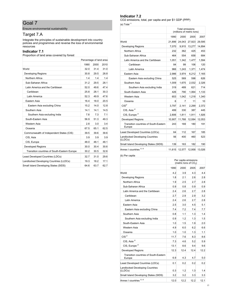Ensure environmental sustainability

# Target 7.A

Integrate the principles of sustainable development into country policies and programmes and reverse the loss of environmental resources

### **Indicator 7.1**

Proportion of land area covered by forest

|                                              | Percentage of land area |      |      |  |
|----------------------------------------------|-------------------------|------|------|--|
|                                              | 1990                    | 2000 | 2010 |  |
| World                                        | 32.0                    | 31.4 | 31.0 |  |
| Developing Regions                           | 30.8                    | 29.5 | 28.8 |  |
| Northern Africa                              | 1.4                     | 1.4  | 1.4  |  |
| Sub-Saharan Africa                           | 31.2                    | 29.5 | 28.1 |  |
| Latin America and the Caribbean              | 52.0                    | 49.6 | 47.4 |  |
| Caribbean                                    | 25.8                    | 28.1 | 30.3 |  |
| Latin America                                | 52.3                    | 49.9 | 47.6 |  |
| Eastern Asia                                 | 16.4                    | 18.0 | 20.5 |  |
| Eastern Asia excluding China                 | 15.2                    | 14.0 | 12.8 |  |
| Southern Asia                                | 14.1                    | 14.1 | 14.5 |  |
| Southern Asia excluding India                | 7.8                     | 7.3  | 7.1  |  |
| South-Eastern Asia                           | 56.9                    | 51.3 | 49.3 |  |
| Western Asia                                 | 2.8                     | 3.0  | 3.4  |  |
| Oceania                                      | 67.5                    | 65.1 | 62.5 |  |
| Commonwealth of Independent States (CIS)     | 39.5                    | 39.6 | 39.6 |  |
| CIS, Asia                                    | 3.9                     | 3.9  | 3.9  |  |
| CIS, Europe                                  | 48.0                    | 48.1 | 48.1 |  |
| <b>Developed Regions</b>                     | 30.0                    | 30.4 | 30.6 |  |
| Transition countries of South-Eastern Europe | 30.2                    | 30.5 | 32.6 |  |
| Least Developed Countries (LDCs)             | 32.7                    | 31.0 | 29.6 |  |
| Landlocked Developing Countries (LLDCs)      | 19.3                    | 18.2 | 17.1 |  |
| Small Island Developing States (SIDS)        | 64.6                    | 63.7 | 62.7 |  |

# **Indicator 7.2**

CO2 emissions, total, per capita and per \$1 GDP (PPP)  $(e)$ 

| Total<br>a) |
|-------------|
|-------------|

|                                                 | Total emissions<br>(millions of metric tons) |        |        |        |
|-------------------------------------------------|----------------------------------------------|--------|--------|--------|
|                                                 | 1990                                         | 2007   |        |        |
| World                                           | 21,899                                       | 24,043 | 27,923 | 29,595 |
| Developing Regions                              | 7,070                                        | 9,915  | 13,277 | 14,894 |
| Northern Africa                                 | 232                                          | 362    | 425    | 453    |
| Sub-Saharan Africa                              | 464                                          | 554    | 658    | 684    |
| Latin America and the Caribbean                 | 1,051                                        | 1,342  | 1,477  | 1,594  |
| Caribbean                                       | 84                                           | 99     | 106    | 120    |
| Latin America                                   | 966                                          | 1.243  | 1.371  | 1.474  |
| Eastern Asia                                    | 2,986                                        | 3,974  | 6,212  | 7,165  |
| Eastern Asia excluding China                    | 525                                          | 569    | 598    | 626    |
| Southern Asia                                   | 1.009                                        | 1.675  | 2.032  | 2.326  |
| Southern Asia excluding India                   | 319                                          | 489    | 621    | 714    |
| South-Eastern Asia                              | 426                                          | 790    | 1.064  | 1.133  |
| Western Asia                                    | 653                                          | 1,042  | 1,218  | 1,340  |
| Oceania                                         | 6                                            | 7      | 11     | 10     |
| CIS <sup>27</sup>                               | 3,797                                        | 2,141  | 2,299  | 2,372  |
| CIS, Asia $^{27}$                               | 499                                          | 330    | 387    | 445    |
| CIS, Europe <sup>2/</sup>                       | 2.806                                        | 1.811  | 1.911  | 1,926  |
| <b>Developed Regions</b>                        | 10,907                                       | 11,768 | 12,084 | 12,053 |
| Transition countries of South-Eastern<br>Europe | 243                                          | 169    | 180    | 191    |
| Least Developed Countries (LDCs)                | 64                                           | 112    | 167    | 185    |
| Landlocked Developing Countries<br>(LLDCs)      | 56                                           | 400    | 460    | 523    |
| Small Island Developing States (SIDS)           | 139                                          | 163    | 182    | 190    |
| Annex I countries 3/, 4/                        | 11.615                                       | 12,577 | 12.958 | 13.026 |

### (b) Per capita

|                                                 | Per capita emissions<br>(metric tons of CO <sub>2</sub> ) |      |      |      |
|-------------------------------------------------|-----------------------------------------------------------|------|------|------|
|                                                 | 1990                                                      | 2000 | 2005 | 2007 |
| World                                           | 4.2                                                       | 3.9  | 4.3  | 4.4  |
| <b>Developing Regions</b>                       | 1.8                                                       | 2.1  | 2.6  | 2.8  |
| Northern Africa                                 | 1.9                                                       | 2.5  | 27   | 2.8  |
| Sub-Saharan Africa                              | 0.9                                                       | 0.8  | 0.9  | 0.9  |
| Latin America and the Caribbean                 | 2.4                                                       | 2.6  | 2.7  | 2.8  |
| Caribbean                                       | 2.7                                                       | 2.9  | 2.9  | 3.2  |
| Latin America                                   | 2.4                                                       | 2.6  | 2.7  | 2.8  |
| Eastern Asia                                    | 2.5                                                       | 3.0  | 45   | 5.1  |
| Eastern Asia excluding China                    | 7.4                                                       | 7.2  | 7.4  | 7.7  |
| Southern Asia                                   | 0.8                                                       | 1.1  | 1.3  | 1.4  |
| Southern Asia excluding India                   | 0.9                                                       | 1.2  | 1.3  | 1.5  |
| South-Eastern Asia                              | 1.0                                                       | 1.5  | 1.9  | 2.0  |
| Western Asia                                    | 4.9                                                       | 6.0  | 6.2  | 6.6  |
| Oceania                                         | 1.0                                                       | 1.0  | 1.3  | 1.1  |
| CIS <sup>27</sup>                               | 11.7                                                      | 7.6  | 8.3  | 8.6  |
| CIS. Asia $^{2}$                                | 7.3                                                       | 4.6  | 5.2  | 5.9  |
| CIS, Europe $2$                                 | 13.1                                                      | 8.6  | 9.4  | 9.6  |
| <b>Developed Regions</b>                        | 12.3                                                      | 12.4 | 12.4 | 12.2 |
| Transition countries of South-Eastern<br>Europe | 6.9                                                       | 4.3  | 4.7  | 5.0  |
| Least Developed Countries (LDCs)                | 0.1                                                       | 0.2  | 0.2  | 0.2  |
| Landlocked Developing Countries<br>(LLDCs)      | 0.3                                                       | 1.2  | 1.3  | 1.4  |
| Small Island Developing States (SIDS)           | 3.2                                                       | 3.2  | 3.3  | 3.3  |
| Annex I countries 3/, 4/                        | 12.0                                                      | 12.2 | 12.2 | 12.1 |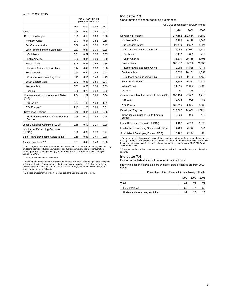# (c) Per \$1 GDP (PPP)

|                                                    | Per \$1 GDP (PPP)<br>(kilograms of CO <sub>2</sub> ) |      |      |      |
|----------------------------------------------------|------------------------------------------------------|------|------|------|
|                                                    | 1990                                                 | 2000 | 2005 | 2007 |
| World                                              | 0.54                                                 | 0.50 | 0.49 | 0.47 |
| <b>Developing Regions</b>                          | 0.65                                                 | 0.59 | 0.60 | 0.58 |
| Northern Africa                                    | 0.43                                                 | 0.54 | 0.52 | 0.50 |
| Sub-Saharan Africa                                 | 0.58                                                 | 0.54 | 0.50 | 0.45 |
| Latin America and the Caribbean                    | 0.33                                                 | 0.31 | 0.30 | 0.29 |
| Caribbean                                          | 0.61                                                 | 0.59 | 0.55 | 0.55 |
| Latin America                                      | 0.33                                                 | 0.31 | 0.30 | 0.29 |
| Eastern Asia                                       | 1.46                                                 | 0.87 | 0.92 | 0.86 |
| Eastern Asia excluding China                       | 0.44                                                 | 0.45 | 0.38 | 0.36 |
| Southern Asia                                      | 0.60                                                 | 0.62 | 0.55 | 0.53 |
| Southern Asia excluding India                      | 0.49                                                 | 0.51 | 0.49 | 0.49 |
| South-Eastern Asia                                 | 0.42                                                 | 0.47 | 0.50 | 0.47 |
| Western Asia                                       | 0.52                                                 | 0.58 | 0.54 | 0.53 |
| Oceania                                            | 0.30                                                 | 0.25 | 0.38 | 0.29 |
| Commonwealth of Independent States<br>$(CIS)^{2l}$ | 1.54                                                 | 1.27 | 0.98 | 0.86 |
| CIS, Asia $^{2}$                                   | 2.37                                                 | 1.80 | 1.33 | 1.21 |
| CIS, Europe <sup>2/</sup>                          | 1.45                                                 | 1.20 | 0.93 | 0.81 |
| <b>Developed Regions</b>                           | 0.49                                                 | 0.41 | 0.38 | 0.36 |
| Transition countries of South-Eastern<br>Europe    | 0.99                                                 | 0.70 | 0.58 | 0.54 |
| Least Developed Countries (LDCs)                   | 0.18                                                 | 0.19 | 0.21 | 0.20 |
| Landlocked Developing Countries<br>(LLDCs)         | 0.30                                                 | 0.96 | 0.76 | 0.71 |
| Small Island Developing States (SIDS)              | 0.59                                                 | 0.43 | 0.41 | 0.36 |
| Annex I countries 3/, 4/                           | 0.51                                                 | 0.43 | 0.40 | 0.38 |

 $^{17}$  Total CO<sub>2</sub> emissions from fossil-fuels (expressed in million metric tons of CO<sub>2</sub>) includes CO<sub>2</sub> emissions from: solid fuel consumption, liquid fuel consumption, gas fuel consumption;<br>cement production; and gas f

 $^{27}$  The 1990 column shows 1992 data.

<sup>3/</sup> Based on the annual national emission inventories of Annex I countries (with the exception<br>of Belarus, Russian Federation and Ukraine, which are included in CIS) that report to the<br>United Nations Framework Convention have annual reporting obligations.

 $^{4/}$  Excludes emissions/removals from land use, land-use change and forestry.

### **Indicator 7.3**

Consumption of ozone-depleting substances

| All ODSs consumption in ODP-tonnes              |                    |         |               |
|-------------------------------------------------|--------------------|---------|---------------|
|                                                 | 1990 <sup>17</sup> | 2000    | 2008          |
| Developing Regions                              | 247.582            | 212.514 | 44.689        |
| Northern Africa                                 | 6.203              | 8.129   | 1.347         |
| Sub-Saharan Africa                              | 23,449             | 9.561   | 1,327         |
| Latin America and the Caribbean                 | 76,048             | 31,087  | 6,715         |
| Caribbean                                       | 2,177              | 1,669   | 219           |
| Latin America                                   | 73,871             | 29,418  | 6,496         |
| Eastern Asia                                    | 103,217            | 105,762 | 21,530        |
| Eastern Asia excluding China                    | 12.904             | 14.885  | 4.144         |
| Southern Asia                                   | 3,338              | 28,161  | 4,057         |
| Southern Asia excluding India                   | 3.338              | 9.466   | 1,152         |
| South-Eastern Asia                              | 21,108             | 16,831  | 2,916         |
| Western Asia                                    | 11,516             | 11,882  | 6,605         |
| Oceania                                         | 47                 | 129     | 10            |
| Commonwealth of Independent States (CIS)        | 139,454            | 27,585  | 1,719         |
| CIS. Asia                                       | 2,738              | 928     | 183           |
| CIS, Europe                                     | 136,716            | 26,657  | 1,536         |
| <b>Developed Regions</b>                        | 826,807            | 24.060  | $-1.792^{27}$ |
| Transition countries of South-Eastern<br>Europe | 6,239              | 966     | 113           |
| Least Developed Countries (LDCs)                | 1,462              | 4,786   | 1,075         |
| Landlocked Developing Countries (LLDCs)         | 3,354              | 2,386   | 437           |
| Small Island Developing States (SIDS)           | 7,162              | 2.147   | 396           |

 $1/$  For years prior to the entry into force of the reporting requirement for a group of substances, missing country consumption values have been estimated at the base year level. This applies to substances in Annexes B, C and E, whose years of entry into force are 1992, 1992 and 1994 respectively.

<sup>2/</sup> Negative numbers will occur where exports plus destruction exceed actual production plus<br>imports.

#### **Indicator 7.4**

Proportion of fish stocks within safe biological limits

(No new global or regional data are available. Data presented are from 2009 report.)

| Percentage of fish stocks within safe biological limits |      |      |      |
|---------------------------------------------------------|------|------|------|
|                                                         | 1990 | 2000 | 2006 |
| Total                                                   | 81   | 72   | 72   |
| Fully exploited                                         | 50   | 47   | 52   |
| Under- and moderately exploited                         | 31   | 25   | 20   |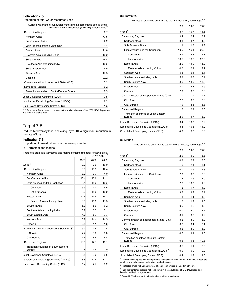### **Indicator 7.5**

Proportion of total water resources used

| Surface water and groundwater withdrawal as percentage of total actual |                                                              |  |
|------------------------------------------------------------------------|--------------------------------------------------------------|--|
|                                                                        | renewable water resources (TARWR), around 2000 <sup>1/</sup> |  |

| Tellewable water resources (TARWR), around 2000 |      |
|-------------------------------------------------|------|
| <b>Developing Regions</b>                       | 6.7  |
| Northern Africa                                 | 77.5 |
| Sub-Saharan Africa                              | 2.2  |
| Latin America and the Caribbean                 | 1.4  |
| Eastern Asia                                    | 21.6 |
| Eastern Asia excluding China                    | 19.2 |
| Southern Asia                                   | 26.8 |
| Southern Asia excluding India                   | 19.6 |
| South-Eastern Asia                              | 4.5  |
| Western Asia                                    | 47.5 |
| Oceania                                         | 0.02 |
| Commonwealth of Independent States (CIS)        | 5.2  |
| <b>Developed Regions</b>                        | 9.2  |
| Transition countries of South-Eastern Europe    | 7.5  |
| Least Developed Countries (LDCs)                | 3.5  |
| Landlocked Developing Countries (LLDCs)         | 8.2  |
| Small Island Developing States (SIDS)           | 1.3  |

 $^{\prime\prime}$  Differences in figures when compared to the statistical annex of the 2009 MDG Report are<br>due to new available data.

# Target 7.B

Reduce biodiversity loss, achieving, by 2010, a significant reduction in the rate of loss

# **Indicator 7.6**

Proportion of terrestrial and marine areas protected

(a) Terrestrial and marine

| Protected area ratio (terrestrial and marine combined) to total territorial area, |      |      | percentage <sup>1/2</sup> |
|-----------------------------------------------------------------------------------|------|------|---------------------------|
|                                                                                   | 1990 | 2000 | 2009                      |
| 3/<br>World                                                                       | 7.9  | 9.9  | 10.9                      |
| <b>Developing Regions</b>                                                         | 8.1  | 10.9 | 12.4                      |
| Northern Africa                                                                   | 3.2  | 3.7  | 4.0                       |
| Sub-Saharan Africa                                                                | 10.4 | 10.6 | 11.1                      |
| Latin America and the Caribbean                                                   | 9.4  | 15.2 | 19.3                      |
| Caribbean                                                                         | 3.5  | 4.0  | 4.6                       |
| Latin America                                                                     | 9.6  | 15.6 | 19.9                      |
| Eastern Asia                                                                      | 11.6 | 14.4 | 15.3                      |
| Eastern Asia excluding China                                                      | 3.9  | 11.5 | 11.5                      |
| Southern Asia                                                                     | 5.3  | 5.9  | 6.2                       |
| Southern Asia excluding India                                                     | 5.7  | 6.5  | 7.1                       |
| South-Eastern Asia                                                                | 4.3  | 6.7  | 7.3                       |
| Western Asia                                                                      | 3.7  | 14.4 | 14.5                      |
| Oceania                                                                           | 0.5  | 1.1  | 1.6                       |
| Commonwealth of Independent States (CIS)                                          | 6.7  | 7.8  | 7.8                       |
| CIS, Asia                                                                         | 2.7  | 3.0  | 3.0                       |
| CIS, Europe                                                                       | 7.6  | 8.8  | 8.8                       |
| <b>Developed Regions</b>                                                          | 10.8 | 12.1 | 13.1                      |
| Transition countries of South-Eastern<br>Europe                                   | 2.8  | 4.9  | 7.0                       |
| Least Developed Countries (LDCs)                                                  | 8.5  | 9.2  | 9.5                       |
| Landlocked Developing Countries (LLDCs)                                           | 8.8  | 10.8 | 11.2                      |
| Small Island Developing States (SIDS)                                             | 1.4  | 2.7  | 3.2                       |

#### (b) Terrestrial

| Terrestrial protected area ratio to total surface area, percentage $1/2$ |      |      |      |
|--------------------------------------------------------------------------|------|------|------|
|                                                                          | 1990 | 2000 | 2009 |
| World <sup>3/</sup>                                                      | 8.7  | 10.7 | 11.6 |
| <b>Developing Regions</b>                                                | 9.4  | 12.4 | 13.9 |
| Northern Africa                                                          | 3.3  | 3.7  | 4.0  |
| Sub-Saharan Africa                                                       | 11.1 | 11.3 | 11.7 |
| Latin America and the Caribbean                                          | 10.5 | 16.1 | 20.8 |
| Caribbean                                                                | 9.1  | 9.8  | 11.1 |
| Latin America                                                            | 10.5 | 16.2 | 20.9 |
| Eastern Asia                                                             | 12.0 | 14.9 | 15.9 |
| Eastern Asia excluding China                                             | 4.0  | 12.1 | 12.1 |
| Southern Asia                                                            | 5.5  | 6.1  | 6.4  |
| Southern Asia excluding India                                            | 5.9  | 6.8  | 7.4  |
| South-Eastern Asia                                                       | 8.6  | 13.0 | 13.6 |
| Western Asia                                                             | 4.0  | 15.4 | 15.5 |
| Oceania                                                                  | 2.0  | 3.0  | 3.0  |
| Commonwealth of Independent States (CIS)                                 | 7.0  | 7.7  | 7.7  |
| CIS, Asia                                                                | 2.7  | 3.0  | 3.0  |
| CIS, Europe                                                              | 7.9  | 8.8  | 8.8  |
| <b>Developed Regions</b>                                                 | 11.6 | 12.9 | 13.6 |
| Transition countries of South-Eastern<br>Europe                          | 2.9  | 4.7  | 6.9  |
| Least Developed Countries (LDCs)                                         | 9.4  | 10.0 | 10.2 |
| Landlocked Developing Countries (LLDCs)                                  | 8.8  | 10.8 | 11.2 |
| Small Island Developing States (SIDS)                                    | 4.0  | 6.3  | 6.7  |

#### (c) Marine

| Marine protected area ratio to total territorial waters, percentage $1/2$ |      |      |      |
|---------------------------------------------------------------------------|------|------|------|
|                                                                           | 1990 | 2000 | 2009 |
| $Word^{3/}$                                                               | 2.9  | 5.0  | 6.3  |
| <b>Developing Regions</b>                                                 | 0.9  | 2.9  | 3.5  |
| Northern Africa                                                           | 1.6  | 2.1  | 3.1  |
| Sub-Saharan Africa                                                        | 0.7  | 1.5  | 1.8  |
| Latin America and the Caribbean                                           | 2.3  | 9.0  | 9.8  |
| Caribbean                                                                 | 1.2  | 1.6  | 2.0  |
| Latin America                                                             | 2.6  | 10.7 | 11.6 |
| Eastern Asia                                                              | 1.2  | 1.7  | 1.9  |
| Eastern Asia excluding China                                              | 3.2  | 3.2  | 3.4  |
| Southern Asia                                                             | 1.3  | 1.4  | 1.6  |
| Southern Asia excluding India                                             | 1.0  | 1.2  | 1.5  |
| South-Eastern Asia                                                        | 0.5  | 1.2  | 1.8  |
| Western Asia                                                              | 0.7  | 2.0  | 2.2  |
| Oceania                                                                   | 0.1  | 0.6  | 1.2  |
| Commonwealth of Independent States (CIS)                                  | 3.2  | 8.9  | 8.9  |
| CIS, Asia                                                                 | 0.2  | 0.4  | 0.4  |
| CIS, Europe                                                               | 3.2  | 8.9  | 8.9  |
| <b>Developed Regions</b>                                                  | 6.5  | 8.1  | 11.0 |
| Transition countries of South-Eastern<br>Europe                           | 0.6  | 9.8  | 10.8 |
| Least Developed Countries (LDCs)                                          | 0.5  | 1.1  | 2.0  |
| Landlocked Developing Countries (LLDCs) <sup>4/</sup>                     | 0.0  | 0.0  | 0.0  |
| Small Island Developing States (SIDS)                                     | 0.4  | 1.2  | 1.8  |

 $^{\prime\prime}$  Differences in figures when compared to the statistical annex of the 2009 MDG Report are<br>due to new available data and revised methodologies.

 $2^{7}$  Protected areas with unknown year of establishment are included in all years.

<sup>3/</sup> Includes territories that are not considered in the calculations of CIS, Developed and<br>Developing Regions aggregates.

4/ Some LLDCs have territorial water claims within inland seas.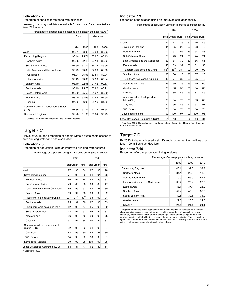### **Indicator 7.7**

Proportion of species threatened with extinction

(No new global or regional data are available for mammals. Data presented are from 2009 report.)

| Percentage of species not expected to go extinct in the near future <sup>1/</sup> |                |       |         |       |
|-----------------------------------------------------------------------------------|----------------|-------|---------|-------|
|                                                                                   | <b>Birds</b>   |       | Mammals |       |
|                                                                                   | 1994           | 2008  | 1996    | 2008  |
| World                                                                             | 93.51          | 93.09 | 86.03   | 85.33 |
| <b>Developing Regions</b>                                                         | 96.44          | 95.71 | 85.87   | 85.13 |
| Northern Africa                                                                   | 92.55          | 92.19 | 90.18   | 89.82 |
| Sub-Saharan Africa                                                                | 97.60<br>97.12 |       | 86.76   | 86.59 |
| Latin America and the Caribbean                                                   | 93.75<br>93.60 |       | 87.09   | 86.56 |
| Caribbean                                                                         | 96.01          | 95.93 | 89.81   | 89.94 |
| Latin America                                                                     | 93.49          | 93.35 | 87.59   | 87.04 |
| Eastern Asia                                                                      | 93.10          | 92.95 | 91.42   | 90.67 |
| Southern Asia                                                                     | 96.19          | 95.78 | 86.92   | 86.21 |
| South-Eastern Asia                                                                | 95.99          | 95.52 | 84.27   | 82.59 |
| Western Asia                                                                      | 93.40          | 92.66 | 92.95   | 92.50 |
| Oceania                                                                           | 97.60          | 96.99 | 85.16   | 84.39 |
| Commonwealth of Independent States<br>(CIS)                                       | 91.86          | 91.41 | 92.28   | 91.68 |
| Developed Regions                                                                 | 92.20          | 91.85 | 91.04   | 90.79 |

 $1/$  IUCN Red List Index values for non-Data Deficient species.

# Target 7.C

Halve, by 2015, the proportion of people without sustainable access to safe drinking water and basic sanitation

#### **Indicator 7.8**

Proportion of population using an improved drinking water source

|  | Percentage of population using an improved drinking water source |  |
|--|------------------------------------------------------------------|--|
|  |                                                                  |  |
|  |                                                                  |  |

|                                             | 1990       |            |            | 2008 |                                     |    |
|---------------------------------------------|------------|------------|------------|------|-------------------------------------|----|
|                                             |            |            |            |      | Total Urban Rural Total Urban Rural |    |
| World                                       | 77         | 95         | 64         | 87   | 96                                  | 78 |
| <b>Developing Regions</b>                   | 71         | 93         | 60         | 84   | 94                                  | 76 |
| Northern Africa                             | 86         | 94         | 78         | 92   | 95                                  | 87 |
| Sub-Saharan Africa                          | 49         | 83         | 36         | 60   | 83                                  | 47 |
| Latin America and the Caribbean             | 85         | 95         | 63         | 93   | 97                                  | 80 |
| Eastern Asia                                | 69         | 97         | 56         | 89   | 98                                  | 82 |
| Eastern Asia excluding China                | $93^{1/2}$ | $97^{1/2}$ | $80^{1/2}$ | 98   | 100                                 | 91 |
| Southern Asia                               | 75         | 91         | 69         | 87   | 95                                  | 83 |
| Southern Asia excluding India               | 82         | 95         | 77         | 85   | 93                                  | 80 |
| South-Eastern Asia                          | 72         | 92         | 63         | 86   | 92                                  | 81 |
| Western Asia                                | 86         | 96         | 70         | 90   | 96                                  | 78 |
| Oceania                                     | 51         | 92         | 38         | 50   | 92                                  | 37 |
| Commonwealth of Independent<br>States (CIS) | 92         | 98         | 82         | 94   | 98                                  | 87 |
| CIS, Asia                                   | 88         | 96         | 80         | 88   | 97                                  | 80 |
| CIS, Europe                                 | 94         | 98         | 82         | 96   | 98                                  | 91 |
| <b>Developed Regions</b>                    | 99         | 100        | 98         | 100  | 100                                 | 98 |
| Least Developed Countries (LDCs)            | 54         | 81         | 47         | 62   | 80                                  | 54 |

 $<sup>1</sup>$  Data from 1995.</sup>

### **Indicator 7.9**

Proportion of population using an improved sanitation facility

Percentage of population using an improved sanitation facility

|                                             | 1990      |            | 2008       |    |                                     |    |
|---------------------------------------------|-----------|------------|------------|----|-------------------------------------|----|
|                                             |           |            |            |    | Total Urban Rural Total Urban Rural |    |
| World                                       | 54        | 77         | 36         | 61 | 76                                  | 45 |
| Developing Regions                          | 41        | 65         | 28         | 52 | 68                                  | 40 |
| Northern Africa                             | 72        | 91         | 55         | 89 | 94                                  | 83 |
| Sub-Saharan Africa                          | 28        | 43         | 21         | 31 | 44                                  | 24 |
| Latin America and the Caribbean             | 69        | 81         | 39         | 80 | 86                                  | 55 |
| Eastern Asia                                | 43        | 53         | 39         | 56 | 61                                  | 53 |
| Eastern Asia excluding China                | $86^{1/}$ | $88^{1/2}$ | $78^{1/1}$ | 97 | 99                                  | 92 |
| Southern Asia                               | 25        | 56         | 13         | 36 | 57                                  | 26 |
| Southern Asia excluding India               | 42        | 74         | 30         | 50 | 65                                  | 42 |
| South-Eastern Asia                          | 46        | 69         | 36         | 69 | 79                                  | 60 |
| Western Asia                                | 80        | 96         | 53         | 85 | 94                                  | 67 |
| Oceania                                     | 55        | 85         | 46         | 53 | 81                                  | 45 |
| Commonwealth of Independent<br>States (CIS) | 89        | 94         | 79         | 89 | 93                                  | 83 |
| CIS, Asia                                   | 91        | 96         | 86         | 91 | 91                                  | 91 |
| CIS, Europe                                 | 89        | 94         | 76         | 89 | 94                                  | 76 |
| <b>Developed Regions</b>                    | 99        | 100        | 97         | 99 | 100                                 | 96 |
| Least Developed Countries (LDCs)            | 24        | 43         | 19         | 36 | 50                                  | 31 |

 $1/1$  Data from 1995. These data are based on a subset of countries different from those used for the 2008 estimates.

# Target 7.D

By 2020, to have achieved a significant improvement in the lives of at least 100 million slum dwellers

#### **Indicator 7.10**

Proportion of urban population living in slums

|                                 | Percentage of urban population living in slums " |      |      |  |  |  |
|---------------------------------|--------------------------------------------------|------|------|--|--|--|
|                                 | 1990                                             | 2000 | 2010 |  |  |  |
| Developing Regions              | 46.1                                             | 39.3 | 32.7 |  |  |  |
| Northern Africa                 | 34.4                                             | 20.3 | 13.3 |  |  |  |
| Sub-Saharan Africa              | 70.0                                             | 65.0 | 61.7 |  |  |  |
| Latin America and the Caribbean | 33.7                                             | 29.2 | 23.5 |  |  |  |
| Eastern Asia                    | 43.7                                             | 37.4 | 28.2 |  |  |  |
| Southern Asia                   | 57.2                                             | 45.8 | 35.0 |  |  |  |
| South-Eastern Asia              | 49.5                                             | 39.6 | 31.0 |  |  |  |
| Western Asia                    | 22.5                                             | 20.6 | 24.6 |  |  |  |
| Oceania                         | 24.1                                             | 24.1 | 24.1 |  |  |  |

 $^{\prime\prime}$  Represented by the urban population living in households with at least one of the four<br>characteristics: lack of access to improved drinking water, lack of access to improved<br>sanitation, overcrowding (three or mor figures are not comparable to the slum estimates published previously where all households using pit latrines were considered as slum households.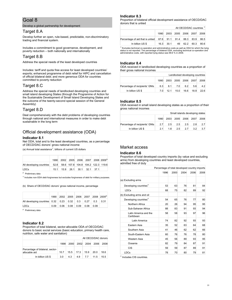#### Develop a global partnership for development

# Target 8.A

Develop further an open, rule-based, predictable, non-discriminatory trading and financial system.

Includes a commitment to good governance, development, and poverty reduction – both nationally and internationally

# Target 8.B

Address the special needs of the least developed countries

Includes: tariff and quota free access for least developed countries' exports; enhanced programme of debt relief for HIPC and cancellation of official bilateral debt; and more generous ODA for countries committed to poverty reduction

# Target 8.C

Address the special needs of landlocked developing countries and small island developing States (through the Programme of Action for the Sustainable Development of Small Island Developing States and the outcome of the twenty-second special session of the General Assembly)

# Target 8.D

Deal comprehensively with the debt problems of developing countries through national and international measures in order to make debt sustainable in the long term

# Official development assistance (ODA)

#### **Indicator 8.1**

Net ODA, total and to the least developed countries, as a percentage of OECD/DAC donors' gross national income

(a) Annual total assistance<sup>1</sup>, billions of current US dollars

|                                                                  | 1990 |  |                          |  | 2002 2005 2006 2007 2008 2009 <sup>/p</sup> |
|------------------------------------------------------------------|------|--|--------------------------|--|---------------------------------------------|
| All developing countries 52.8 58.6 107.8 104.8 104.2 122.3 119.6 |      |  |                          |  |                                             |
| <b>LDCs</b>                                                      | 15.1 |  | 15.9 26.1 30.1 32.1 37.1 |  |                                             |

p/ Preliminary data

 $1/$  Includes non-ODA debt forgiveness but excludes forgiveness of debt for military purposes.

(b) Share of OECD/DAC donors' gross national income, percentage

|                                             | $1990 -$ |      |      |      |      |      | $2002$   2005   2006   2007   2008   2009 <sup>/p</sup> |
|---------------------------------------------|----------|------|------|------|------|------|---------------------------------------------------------|
| All developing countries 0.32 0.23 0.32 0.3 |          |      |      |      | 0.27 | 0.3  | 0.31                                                    |
| <b>LDCs</b>                                 | 0.09     | 0.06 | 0.08 | 0.09 | 0.08 | 0.09 |                                                         |

p/ Preliminary data

#### **Indicator 8.2**

Proportion of total bilateral, sector-allocable ODA of OECD/DAC donors to basic social services (basic education, primary health care, nutrition, safe water and sanitation)

| All OECD/DAC donors                               |      |      |      |           |      |      |  |  |
|---------------------------------------------------|------|------|------|-----------|------|------|--|--|
|                                                   | 1998 | 2000 |      | 2002 2004 | 2006 | 2008 |  |  |
| Percentage of bilateral, sector-<br>allocable aid | 10.7 | 15.5 | 17.3 | 15.9      | 20.0 | 18.6 |  |  |
| In billion US \$                                  | 3.0  | 4.3  | 4.9  | 7.7       | 11.5 | 15.5 |  |  |

### **Indicator 8.3**

Proportion of bilateral official development assistance of OECD/DAC donors that is untied

| All OECD/DAC countries <sup>1/</sup> |      |           |      |      |                |      |  |
|--------------------------------------|------|-----------|------|------|----------------|------|--|
|                                      | 1990 | 2003      |      |      | 2005 2006 2007 | 2008 |  |
| Percentage of aid that is untied     |      | 67.6 91.1 | 91.4 | 88.3 | 83.9           | 86.5 |  |
| In billion US \$                     | 16.3 | 30.1      | 49   | 62.2 | 60.3           | 80.6 |  |

 $1/$  Excludes technical co-operation and administrative costs as well as ODA for which the tying status is not reported. The percentage of bilateral ODA, excluding technical co-operation and administrative costs, with reported tying status was 99.6 % in 2008.

### **Indicator 8.4**

ODA received in landlocked developing countries as a proportion of their gross national incomes

|                                | Landlocked developing countries |      |      |                     |      |      |
|--------------------------------|---------------------------------|------|------|---------------------|------|------|
|                                | 1990                            |      |      | 2003 2005 2006 2007 |      | 2008 |
| Percentage of recipients' GNIs | 6.3                             | 8.1  | 7.0  | 6.2                 | 5.6  | 4.2  |
| In billion US \$               | 7.0                             | 12.1 | 15.0 | 16.6                | 18.9 | 22.6 |

### **Indicator 8.5**

ODA received in small island developing states as a proportion of their gross national incomes

| Small islands developing states |      |    |                 |     |                          |     |
|---------------------------------|------|----|-----------------|-----|--------------------------|-----|
|                                 | 1990 |    |                 |     | 2003 2005 2006 2007 2008 |     |
| Percentage of recipients' GNIs  | 2.7  |    | $2.5\qquad 2.5$ | 2.5 | 2.8                      | 2.7 |
| In billion US \$                | 21   | 18 | 2.5             | 27  | 3.2                      | 3.7 |

# Market access

#### **Indicator 8.6**

Proportion of total developed country imports (by value and excluding arms) from developing countries and least developed countries, admitted free of duty

|                                    | Percentage of total developed country imports |      |      |      |      |
|------------------------------------|-----------------------------------------------|------|------|------|------|
|                                    | 1996                                          | 2000 | 2004 | 2006 | 2008 |
| (a) Excluding arms                 |                                               |      |      |      |      |
| Developing countries <sup>/1</sup> | 53                                            | 63   | 76   | 81   | 84   |
| <b>LDCs</b>                        | 68                                            | 75   | 82   | 89   | 92   |
| (b) Excluding arms and oil         |                                               |      |      |      |      |
| Developing countries <sup>/1</sup> | 54                                            | 65   | 76   | 77   | 80   |
| Northern Africa                    | 20                                            | 26   | 94   | 95   | 95   |
| Sub-Saharan Africa                 | 88                                            | 83   | 91   | 93   | 94   |
| Latin America and the<br>Caribbean | 58                                            | 58   | 93   | 97   | 96   |
| Latin America                      | 74                                            | 82   | 92   | 93   | 93   |
| Eastern Asia                       | 35                                            | 52   | 63   | 64   | 68   |
| Southern Asia                      | 41                                            | 46   | 62   | 62   | 66   |
| South-Eastern Asia                 | 60                                            | 76   | 76   | 78   | 80   |
| Western Asia                       | 45                                            | 56   | 89   | 93   | 95   |
| Oceania                            | 82                                            | 79   | 84   | 87   | 91   |
| <b>CIS</b>                         | 59                                            | 59   | 87   | 89   | 91   |
| LDCs                               | 78                                            | 70   | 80   | 79   | 81   |

<sup>/1</sup> Includes CIS countries.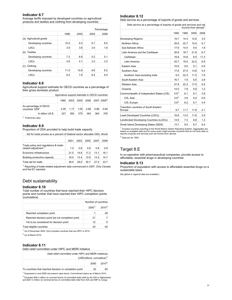#### **Indicator 8.7**

Average tariffs imposed by developed countries on agricultural products and textiles and clothing from developing countries

|                        |      |      |      | Percentage |
|------------------------|------|------|------|------------|
|                        | 1996 | 2000 | 2004 | 2008       |
| (a) Agricultural goods |      |      |      |            |
| Developing countries   | 10.5 | 9.3  | 9.1  | 8.0        |
| LDCs                   | 3.9  | 3.6  | 3.0  | 1.6        |
| Textiles<br>(b)        |      |      |      |            |
| Developing countries   | 7.3  | 6.6  | 5.2  | 5.1        |
| <b>LDCs</b>            | 4.6  | 4.1  | 3.2  | 3.2        |
| Clothing<br>(c)        |      |      |      |            |
| Developing countries   | 11.5 | 10.8 | 8.6  | 8.2        |
| <b>LDCs</b>            | 8.2  | 7.8  | 6.4  | 6.4        |

#### **Indicator 8.8**

Agricultural support estimate for OECD countries as a percentage of their gross domestic product

|                                         | Agriculture support estimate in OECD countries |       |      |                                   |      |      |  |  |  |
|-----------------------------------------|------------------------------------------------|-------|------|-----------------------------------|------|------|--|--|--|
|                                         | 1990                                           | 2003  |      | 2005 2006 2007 2008 <sup>/p</sup> |      |      |  |  |  |
| As percentage of OECD<br>countries' GDP | 2.05                                           | 1 1 7 | 1.05 | 0.96                              | 0.88 | 0.84 |  |  |  |
| In billion US \$                        | 327                                            | 350   | 375  | 363                               | 364  | 376  |  |  |  |

p/ Preliminary data

#### **Indicator 8.9**

Proportion of ODA provided to help build trade capacity

|  | Aid for trade proxies as a percent of bilateral sector allocable ODA, World |  |
|--|-----------------------------------------------------------------------------|--|
|--|-----------------------------------------------------------------------------|--|

|                                                                          | 2001 | 2003 | 2005 | 2007 | 2008 |
|--------------------------------------------------------------------------|------|------|------|------|------|
| Trade policy and regulations & trade-<br>related adjustment <sup>n</sup> |      |      |      |      |      |
|                                                                          | 1.0  | 0.8  | 0.8  | 0.8  | 0.8  |
| Economic infrastructure                                                  | 21.5 | 14.8 | 17.2 | 13.1 | 18.1 |
| Building productive capacity                                             | 16.0 | 13.4 | 12.8 | 13.3 | 14.7 |
| Total aid for trade                                                      | 38.5 | 29.0 | 30.7 | 27.2 | 33.7 |

<sup>/1</sup> Reporting of trade-related adjustment data commenced in 2007. Only Canada<br>and the EC reported.

# Debt sustainability

#### **Indicator 8.10**

Total number of countries that have reached their HIPC decision points and number that have reached their HIPC completion points (cumulative)

|                                                 |                   | Number of countries |
|-------------------------------------------------|-------------------|---------------------|
|                                                 | 2000 <sup>1</sup> | $2010^{27}$         |
| Reached completion point                        |                   | 28                  |
| Reached decision point but not completion point | 21                |                     |
| Yet to be considered for decision point         | 12                |                     |
| Total eligible countries                        | 34                |                     |

 $1/$  As of December 2000. Only includes countries that are HIPC in 2010.

 $^{27}$  As of March 2010.

#### **Indicator 8.11**

#### Debt relief committed under HIPC and MDRI initiative

| Debt relief committed under HIPC and MDRI initiatives  |                                           |             |
|--------------------------------------------------------|-------------------------------------------|-------------|
|                                                        | (US\$ billions, cumulative) <sup>1/</sup> |             |
|                                                        | 2000                                      | $2010^{27}$ |
| To countries that reached decision or completion point | 32                                        | R?          |

 $1/$  Expressed in end-2008 net present value terms. Commitment status as of March 2010.  $2^{7}$  Excludes \$38.4 million (in nominal terms) of committed debt relief by the IDA to Afghanistan

and \$201.3 million (in nominal terms) of committed debt relief from IDA and IMF to Congo.

#### **Indicator 8.12**

Debt service as a percentage of exports of goods and services

Debt service as a percentage of exports of goods and services and net income from abroad $1$ 

|                                                 | 1990        | 1995 | 2000 | 2008 |
|-------------------------------------------------|-------------|------|------|------|
| Developing Regions                              | 19.7        | 14.4 | 12.6 | 3.5  |
| Northern Africa                                 | 39.9        | 22.7 | 15.4 | 6.1  |
| Sub-Saharan Africa                              | 17.6        | 10.4 | 9.4  | 1.9  |
| Latin America and the Caribbean                 | 20.6        | 18.7 | 21.8 | 6.7  |
| Caribbean                                       | 16.8        | 10.8 | 8.0  | 11.3 |
| Latin America                                   | 20.7        | 19.0 | 22.2 | 6.6  |
| Eastern Asia                                    | 10.6        | 9.0  | 5.1  | 0.6  |
| Southern Asia                                   | 17.6        | 27.0 | 13.8 | 5.4  |
| Southern Asia excluding India                   | 9.3         | 22.3 | 11.5 | 7.9  |
| South-Eastern Asia                              | 16.7        | 7.9  | 6.5  | 2.8  |
| Western Asia                                    | 27.8        | 22.3 | 17.5 | 9.5  |
| Oceania                                         | 14.0        | 7.8  | 5.9  | 1.2  |
| Commonwealth of Independent States (CIS)        | $0.6^{27}$  | 6.1  | 8.1  | 3.9  |
| CIS, Asia                                       | $0.6^{2/3}$ | 3.8  | 8.4  | 0.6  |
| CIS, Europe                                     | $0.6^{27}$  | 6.2  | 8.1  | 4.4  |
| Transition countries of South-Eastern<br>Europe | 9.7         | 11.7 | 11.8 | 4.1  |
| Least Developed Countries (LDCs)                | 16.8        | 13.4 | 11.6 | 2.9  |
| Landlocked Developing Countries (LLDCs)         | 14.9        | 7.3  | 8.6  | 1.2  |
| Small Island Developing States (SIDS)           | 13.7        | 9.5  | 8.7  | 8.4  |
|                                                 |             |      |      |      |

<sup>1/</sup> Includes countries reporting to the World Bank's Debtor Reporting System, Aggregates are<br>based on available data and for some years might exclude countries that do not have data on<br>exports of goods and services and ne  $^{27}$  Data are for 1993.

# Target 8.E

In co-operation with pharmaceutical companies, provide access to affordable, essential drugs in developing countries

#### **Indicator 8.13**

Proportion of population with access to affordable essential drugs on a sustainable basis

(No global or regional data are available.)